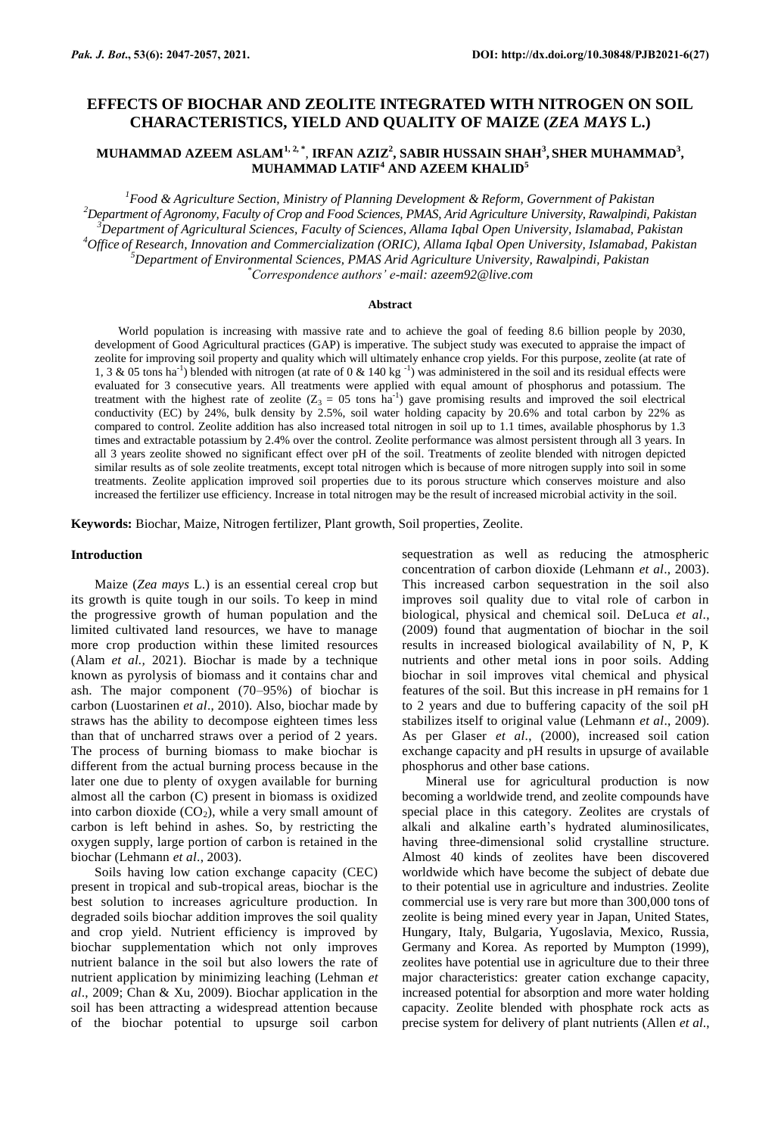# **EFFECTS OF BIOCHAR AND ZEOLITE INTEGRATED WITH NITROGEN ON SOIL CHARACTERISTICS, YIELD AND QUALITY OF MAIZE (***ZEA MAYS* **L.)**

## <code>MUHAMMAD</code> AZEEM ASLAM $^{1,2, *},$  IRFAN AZIZ $^{2},$  SABIR HUSSAIN SHAH $^{3},$  SHER MUHAMMAD $^{3},$ **MUHAMMAD LATIF<sup>4</sup> AND AZEEM KHALID<sup>5</sup>**

*Food & Agriculture Section, Ministry of Planning Development & Reform, Government of Pakistan Department of Agronomy, Faculty of Crop and Food Sciences, PMAS, Arid Agriculture University, Rawalpindi, Pakistan Department of Agricultural Sciences, Faculty of Sciences, Allama Iqbal Open University, Islamabad, Pakistan Office of Research, Innovation and Commercialization (ORIC), Allama Iqbal Open University, Islamabad, Pakistan Department of Environmental Sciences, PMAS Arid Agriculture University, Rawalpindi, Pakistan \*Correspondence authors' e-mail: azeem92@live.com*

#### **Abstract**

World population is increasing with massive rate and to achieve the goal of feeding 8.6 billion people by 2030, development of Good Agricultural practices (GAP) is imperative. The subject study was executed to appraise the impact of zeolite for improving soil property and quality which will ultimately enhance crop yields. For this purpose, zeolite (at rate of 1, 3 & 05 tons ha<sup>-1</sup>) blended with nitrogen (at rate of 0 & 140 kg<sup>-1</sup>) was administered in the soil and its residual effects were evaluated for 3 consecutive years. All treatments were applied with equal amount of phosphorus and potassium. The treatment with the highest rate of zeolite  $(Z_3 = 05 \text{ tons} \text{ ha}^{-1})$  gave promising results and improved the soil electrical conductivity (EC) by 24%, bulk density by 2.5%, soil water holding capacity by 20.6% and total carbon by 22% as compared to control. Zeolite addition has also increased total nitrogen in soil up to 1.1 times, available phosphorus by 1.3 times and extractable potassium by 2.4% over the control. Zeolite performance was almost persistent through all 3 years. In all 3 years zeolite showed no significant effect over pH of the soil. Treatments of zeolite blended with nitrogen depicted similar results as of sole zeolite treatments, except total nitrogen which is because of more nitrogen supply into soil in some treatments. Zeolite application improved soil properties due to its porous structure which conserves moisture and also increased the fertilizer use efficiency. Increase in total nitrogen may be the result of increased microbial activity in the soil.

**Keywords:** Biochar, Maize, Nitrogen fertilizer, Plant growth, Soil properties, Zeolite.

#### **Introduction**

Maize (*Zea mays* L.) is an essential cereal crop but its growth is quite tough in our soils. To keep in mind the progressive growth of human population and the limited cultivated land resources, we have to manage more crop production within these limited resources (Alam *et al.,* 2021). Biochar is made by a technique known as pyrolysis of biomass and it contains char and ash. The major component (70–95%) of biochar is carbon (Luostarinen *et al*., 2010). Also, biochar made by straws has the ability to decompose eighteen times less than that of uncharred straws over a period of 2 years. The process of burning biomass to make biochar is different from the actual burning process because in the later one due to plenty of oxygen available for burning almost all the carbon (C) present in biomass is oxidized into carbon dioxide  $(CO<sub>2</sub>)$ , while a very small amount of carbon is left behind in ashes. So, by restricting the oxygen supply, large portion of carbon is retained in the biochar (Lehmann *et al*., 2003).

Soils having low cation exchange capacity (CEC) present in tropical and sub-tropical areas, biochar is the best solution to increases agriculture production. In degraded soils biochar addition improves the soil quality and crop yield. Nutrient efficiency is improved by biochar supplementation which not only improves nutrient balance in the soil but also lowers the rate of nutrient application by minimizing leaching (Lehman *et al*., 2009; Chan & Xu, 2009). Biochar application in the soil has been attracting a widespread attention because of the biochar potential to upsurge soil carbon sequestration as well as reducing the atmospheric concentration of carbon dioxide (Lehmann *et al*., 2003). This increased carbon sequestration in the soil also improves soil quality due to vital role of carbon in biological, physical and chemical soil. DeLuca *et al*., (2009) found that augmentation of biochar in the soil results in increased biological availability of N, P, K nutrients and other metal ions in poor soils. Adding biochar in soil improves vital chemical and physical features of the soil. But this increase in pH remains for 1 to 2 years and due to buffering capacity of the soil pH stabilizes itself to original value (Lehmann *et al*., 2009). As per Glaser *et al*., (2000), increased soil cation exchange capacity and pH results in upsurge of available phosphorus and other base cations.

Mineral use for agricultural production is now becoming a worldwide trend, and zeolite compounds have special place in this category. Zeolites are crystals of alkali and alkaline earth's hydrated aluminosilicates, having three-dimensional solid crystalline structure. Almost 40 kinds of zeolites have been discovered worldwide which have become the subject of debate due to their potential use in agriculture and industries. Zeolite commercial use is very rare but more than 300,000 tons of zeolite is being mined every year in Japan, United States, Hungary, Italy, Bulgaria, Yugoslavia, Mexico, Russia, Germany and Korea. As reported by Mumpton (1999), zeolites have potential use in agriculture due to their three major characteristics: greater cation exchange capacity, increased potential for absorption and more water holding capacity. Zeolite blended with phosphate rock acts as precise system for delivery of plant nutrients (Allen *et al*.,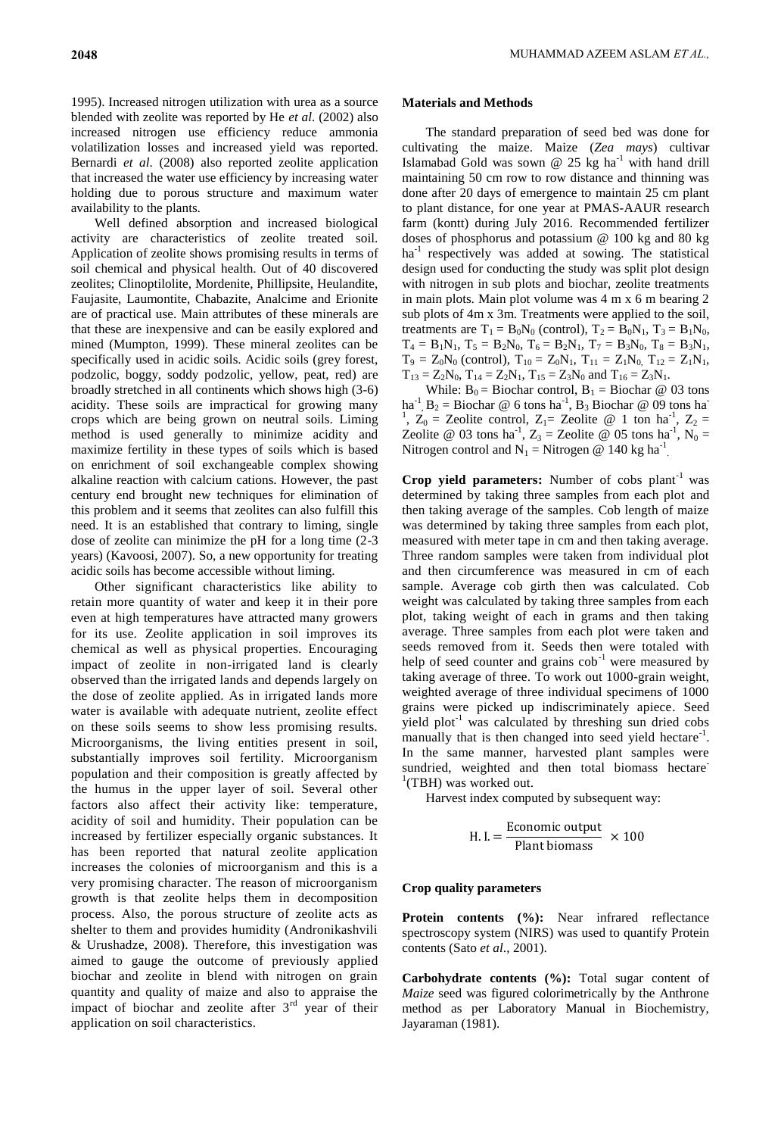1995). Increased nitrogen utilization with urea as a source blended with zeolite was reported by He *et al*. (2002) also increased nitrogen use efficiency reduce ammonia volatilization losses and increased yield was reported. Bernardi *et al*. (2008) also reported zeolite application that increased the water use efficiency by increasing water holding due to porous structure and maximum water availability to the plants.

Well defined absorption and increased biological activity are characteristics of zeolite treated soil. Application of zeolite shows promising results in terms of soil chemical and physical health. Out of 40 discovered zeolites; Clinoptilolite, Mordenite, Phillipsite, Heulandite, Faujasite, Laumontite, Chabazite, Analcime and Erionite are of practical use. Main attributes of these minerals are that these are inexpensive and can be easily explored and mined (Mumpton, 1999). These mineral zeolites can be specifically used in acidic soils. Acidic soils (grey forest, podzolic, boggy, soddy podzolic, yellow, peat, red) are broadly stretched in all continents which shows high (3-6) acidity. These soils are impractical for growing many crops which are being grown on neutral soils. Liming method is used generally to minimize acidity and maximize fertility in these types of soils which is based on enrichment of soil exchangeable complex showing alkaline reaction with calcium cations. However, the past century end brought new techniques for elimination of this problem and it seems that zeolites can also fulfill this need. It is an established that contrary to liming, single dose of zeolite can minimize the pH for a long time (2-3 years) (Kavoosi, 2007). So, a new opportunity for treating acidic soils has become accessible without liming.

Other significant characteristics like ability to retain more quantity of water and keep it in their pore even at high temperatures have attracted many growers for its use. Zeolite application in soil improves its chemical as well as physical properties. Encouraging impact of zeolite in non-irrigated land is clearly observed than the irrigated lands and depends largely on the dose of zeolite applied. As in irrigated lands more water is available with adequate nutrient, zeolite effect on these soils seems to show less promising results. Microorganisms, the living entities present in soil, substantially improves soil fertility. Microorganism population and their composition is greatly affected by the humus in the upper layer of soil. Several other factors also affect their activity like: temperature, acidity of soil and humidity. Their population can be increased by fertilizer especially organic substances. It has been reported that natural zeolite application increases the colonies of microorganism and this is a very promising character. The reason of microorganism growth is that zeolite helps them in decomposition process. Also, the porous structure of zeolite acts as shelter to them and provides humidity (Andronikashvili & Urushadze, 2008). Therefore, this investigation was aimed to gauge the outcome of previously applied biochar and zeolite in blend with nitrogen on grain quantity and quality of maize and also to appraise the impact of biochar and zeolite after  $3<sup>rd</sup>$  year of their application on soil characteristics.

#### **Materials and Methods**

The standard preparation of seed bed was done for cultivating the maize. Maize (*Zea mays*) cultivar Islamabad Gold was sown  $@$  25 kg ha<sup>-1</sup> with hand drill maintaining 50 cm row to row distance and thinning was done after 20 days of emergence to maintain 25 cm plant to plant distance, for one year at PMAS-AAUR research farm (kontt) during July 2016. Recommended fertilizer doses of phosphorus and potassium @ 100 kg and 80 kg  $ha^{-1}$  respectively was added at sowing. The statistical design used for conducting the study was split plot design with nitrogen in sub plots and biochar, zeolite treatments in main plots. Main plot volume was 4 m x 6 m bearing 2 sub plots of 4m x 3m. Treatments were applied to the soil, treatments are  $T_1 = B_0N_0$  (control),  $T_2 = B_0N_1$ ,  $T_3 = B_1N_0$ ,  $T_4 = B_1N_1$ ,  $T_5 = B_2N_0$ ,  $T_6 = B_2N_1$ ,  $T_7 = B_3N_0$ ,  $T_8 = B_3N_1$ ,  $T_9 = Z_0N_0$  (control),  $T_{10} = Z_0N_1$ ,  $T_{11} = Z_1N_0$ ,  $T_{12} = Z_1N_1$ ,  $T_{13} = Z_2N_0$ ,  $T_{14} = Z_2N_1$ ,  $T_{15} = Z_3N_0$  and  $T_{16} = Z_3N_1$ .

While:  $B_0 = Biochar$  control,  $B_1 = Biochar \ @$  03 tons ha<sup>-1</sup>, B<sub>2</sub> = Biochar @ 6 tons ha<sup>-1</sup>, B<sub>3</sub> Biochar @ 09 tons ha<sup>-1</sup> <sup>1</sup>,  $Z_0$  = Zeolite control, Z<sub>1</sub>= Zeolite @ 1 ton ha<sup>-1</sup>, Z<sub>2</sub> = Zeolite @ 03 tons ha<sup>-1</sup>,  $Z_3$  = Zeolite @ 05 tons ha<sup>-1</sup>, N<sub>0</sub> = Nitrogen control and  $N_1$  = Nitrogen @ 140 kg ha<sup>-1</sup>.

Crop yield parameters: Number of cobs plant<sup>-1</sup> was determined by taking three samples from each plot and then taking average of the samples. Cob length of maize was determined by taking three samples from each plot, measured with meter tape in cm and then taking average. Three random samples were taken from individual plot and then circumference was measured in cm of each sample. Average cob girth then was calculated. Cob weight was calculated by taking three samples from each plot, taking weight of each in grams and then taking average. Three samples from each plot were taken and seeds removed from it. Seeds then were totaled with help of seed counter and grains  $\cosh^{-1}$  were measured by taking average of three. To work out 1000-grain weight, weighted average of three individual specimens of 1000 grains were picked up indiscriminately apiece. Seed yield  $plot^{-1}$  was calculated by threshing sun dried cobs manually that is then changed into seed yield hectare<sup>-1</sup>. In the same manner, harvested plant samples were sundried, weighted and then total biomass hectare<sup>-</sup> <sup>1</sup>(TBH) was worked out.

Harvest index computed by subsequent way:

H.I. = 
$$
\frac{\text{Economic output}}{\text{Plant biomass}}
$$
 × 100

#### **Crop quality parameters**

Protein contents (%): Near infrared reflectance spectroscopy system (NIRS) was used to quantify Protein contents (Sato *et al*., 2001).

**Carbohydrate contents (%):** Total sugar content of *Maize* seed was figured colorimetrically by the Anthrone method as per Laboratory Manual in Biochemistry, Jayaraman (1981).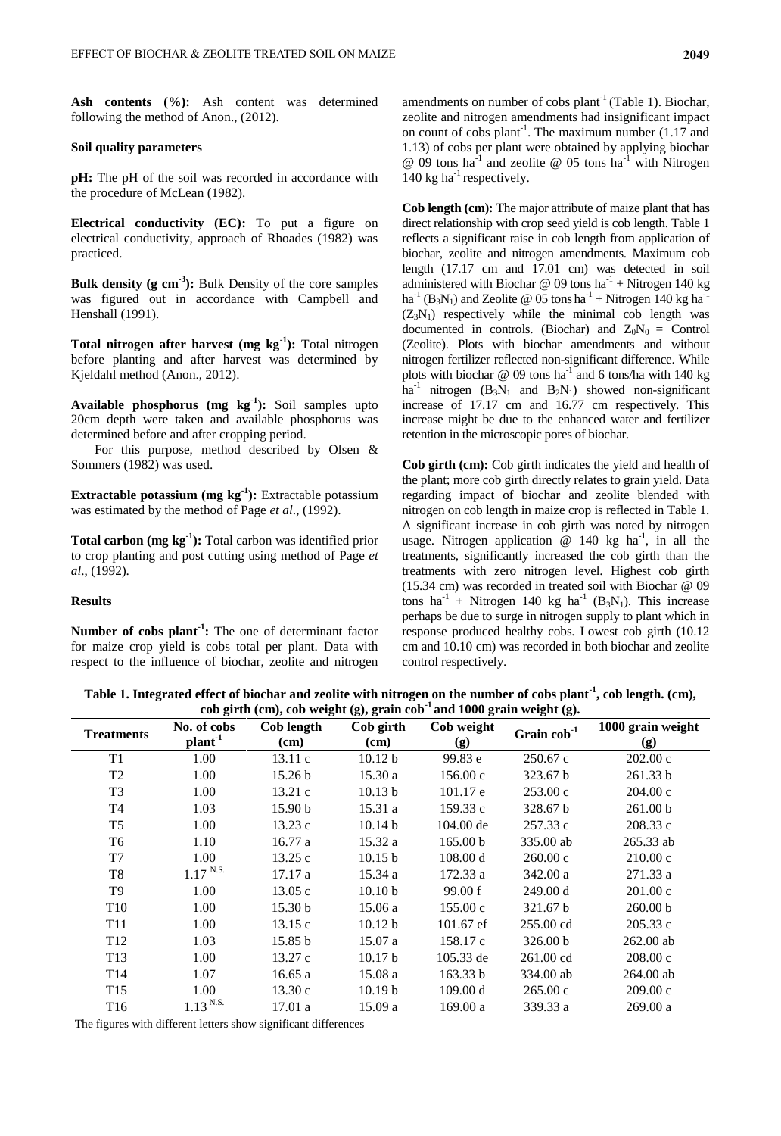Ash contents (%): Ash content was determined following the method of Anon., (2012).

## **Soil quality parameters**

**pH:** The pH of the soil was recorded in accordance with the procedure of McLean (1982).

**Electrical conductivity (EC):** To put a figure on electrical conductivity, approach of Rhoades (1982) was practiced.

**Bulk density (g cm-3 ):** Bulk Density of the core samples was figured out in accordance with Campbell and Henshall (1991).

**Total nitrogen after harvest (mg kg-1 ):** Total nitrogen before planting and after harvest was determined by Kjeldahl method (Anon., 2012).

**Available phosphorus (mg kg-1 ):** Soil samples upto 20cm depth were taken and available phosphorus was determined before and after cropping period.

For this purpose, method described by Olsen & Sommers (1982) was used.

**Extractable potassium (mg kg-1 ):** Extractable potassium was estimated by the method of Page *et al*., (1992).

**Total carbon (mg kg-1 ):** Total carbon was identified prior to crop planting and post cutting using method of Page *et al*., (1992).

## **Results**

**Number of cobs plant-1 :** The one of determinant factor for maize crop yield is cobs total per plant. Data with respect to the influence of biochar, zeolite and nitrogen

amendments on number of cobs plant<sup>-1</sup> (Table 1). Biochar, zeolite and nitrogen amendments had insignificant impact on count of cobs plant<sup>-1</sup>. The maximum number  $(1.17 \text{ and }$ 1.13) of cobs per plant were obtained by applying biochar  $\omega$  09 tons ha<sup>-1</sup> and zeolite  $\omega$  05 tons ha<sup>-1</sup> with Nitrogen 140  $kg$  ha<sup>-1</sup> respectively.

**Cob length (cm):** The major attribute of maize plant that has direct relationship with crop seed yield is cob length. Table 1 reflects a significant raise in cob length from application of biochar, zeolite and nitrogen amendments. Maximum cob length (17.17 cm and 17.01 cm) was detected in soil administered with Biochar @ 09 tons  $ha^{-1}$  + Nitrogen 140 kg  $ha^{-1}$  (B<sub>3</sub>N<sub>1</sub>) and Zeolite @ 05 tons  $ha^{-1}$  + Nitrogen 140 kg  $ha^{-1}$  $(Z_3N_1)$  respectively while the minimal cob length was documented in controls. (Biochar) and  $Z_0N_0 =$  Control (Zeolite). Plots with biochar amendments and without nitrogen fertilizer reflected non-significant difference. While plots with biochar  $\omega$  09 tons ha<sup>-1</sup> and 6 tons/ha with 140 kg  $ha^{-1}$  nitrogen  $(B_3N_1$  and  $B_2N_1$ ) showed non-significant increase of 17.17 cm and 16.77 cm respectively. This increase might be due to the enhanced water and fertilizer retention in the microscopic pores of biochar.

**Cob girth (cm):** Cob girth indicates the yield and health of the plant; more cob girth directly relates to grain yield. Data regarding impact of biochar and zeolite blended with nitrogen on cob length in maize crop is reflected in Table 1. A significant increase in cob girth was noted by nitrogen usage. Nitrogen application  $\omega$  140 kg ha<sup>-1</sup>, in all the treatments, significantly increased the cob girth than the treatments with zero nitrogen level. Highest cob girth (15.34 cm) was recorded in treated soil with Biochar @ 09 tons  $ha^{-1}$  + Nitrogen 140 kg  $ha^{-1}$  (B<sub>3</sub>N<sub>1</sub>). This increase perhaps be due to surge in nitrogen supply to plant which in response produced healthy cobs. Lowest cob girth (10.12 cm and 10.10 cm) was recorded in both biochar and zeolite control respectively.

**Table 1. Integrated effect of biochar and zeolite with nitrogen on the number of cobs plant-1 , cob length. (cm), cob girth (cm), cob weight (g), grain cob-1 and 1000 grain weight (g).**

| <b>Treatments</b> | No. of cobs<br>plan <sup>1</sup> | Cob length<br>(cm) | Cob girth<br>$(cm)$ | Cob weight<br>(g) | Grain $\cosh^1$     | 1000 grain weight<br>(g) |
|-------------------|----------------------------------|--------------------|---------------------|-------------------|---------------------|--------------------------|
| T1                | 1.00                             | 13.11c             | 10.12 <sub>b</sub>  | 99.83 e           | 250.67c             | 202.00 c                 |
| T <sub>2</sub>    | 1.00                             | 15.26 <sub>b</sub> | 15.30a              | 156.00c           | 323.67 b            | 261.33 b                 |
| T <sub>3</sub>    | 1.00                             | 13.21c             | 10.13 <sub>b</sub>  | 101.17 e          | 253.00c             | 204.00c                  |
| T4                | 1.03                             | 15.90 <sub>b</sub> | 15.31 a             | 159.33c           | 328.67 b            | 261.00 b                 |
| T <sub>5</sub>    | 1.00                             | 13.23c             | 10.14 <sub>b</sub>  | $104.00$ de       | 257.33 c            | 208.33 c                 |
| T <sub>6</sub>    | 1.10                             | 16.77a             | 15.32 a             | 165.00 b          | 335.00 ab           | 265.33 ab                |
| T7                | 1.00                             | 13.25c             | 10.15 b             | 108.00 d          | $260.00 \text{ c}$  | 210.00c                  |
| T <sub>8</sub>    | $1.17$ N.S.                      | 17.17a             | 15.34a              | 172.33 a          | 342.00 a            | 271.33 a                 |
| T9                | 1.00                             | 13.05c             | 10.10 <sub>b</sub>  | 99.00 f           | 249.00 d            | 201.00c                  |
| T <sub>10</sub>   | 1.00                             | 15.30 <sub>b</sub> | 15.06 a             | 155.00c           | 321.67 b            | 260.00 b                 |
| T <sub>11</sub>   | 1.00                             | 13.15c             | 10.12 b             | $101.67$ ef       | 255.00 cd           | 205.33c                  |
| T <sub>12</sub>   | 1.03                             | 15.85 b            | 15.07 a             | 158.17 c          | 326.00 b            | $262.00$ ab              |
| T <sub>13</sub>   | 1.00                             | 13.27c             | 10.17 <sub>b</sub>  | 105.33 de         | $261.00 \text{ cd}$ | 208.00 c                 |
| T <sub>14</sub>   | 1.07                             | 16.65a             | 15.08a              | 163.33 b          | 334.00 ab           | $264.00$ ab              |
| T <sub>15</sub>   | 1.00                             | 13.30c             | 10.19 <sub>b</sub>  | 109.00 d          | 265.00 c            | 209.00c                  |
| T <sub>16</sub>   | $1.13$ <sup>N.S.</sup>           | 17.01a             | 15.09a              | 169.00a           | 339.33 a            | 269.00a                  |

The figures with different letters show significant differences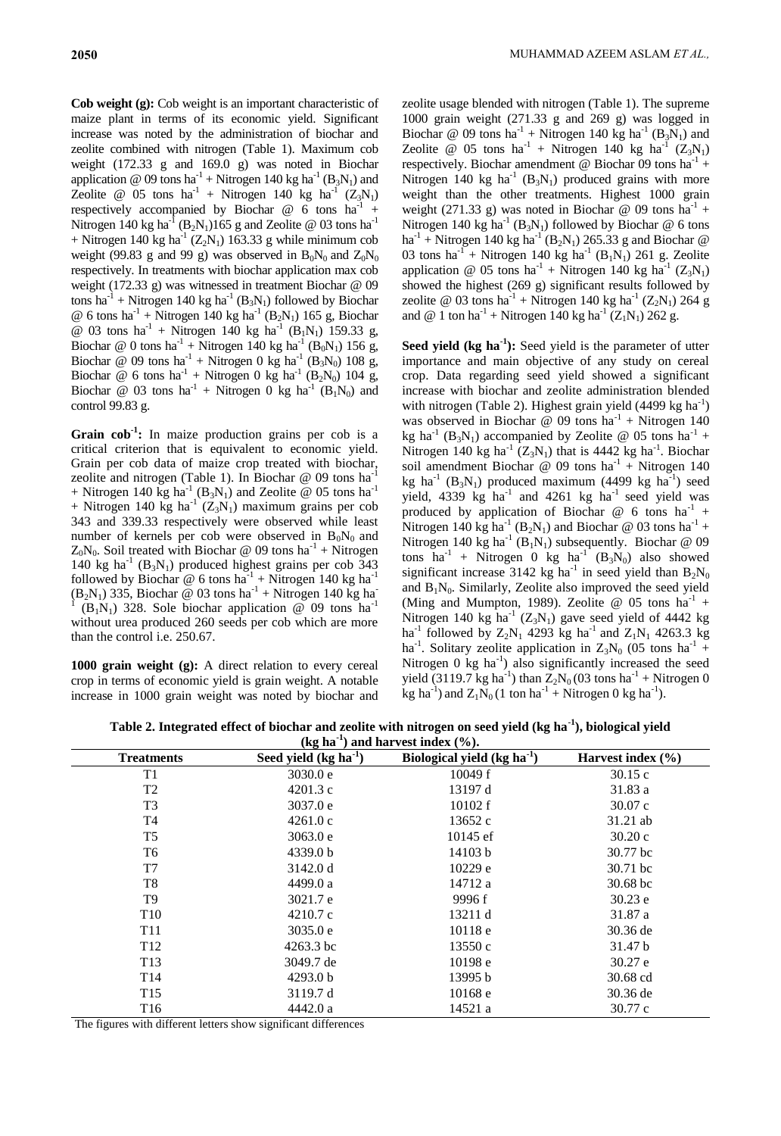**Cob weight (g):** Cob weight is an important characteristic of maize plant in terms of its economic yield. Significant increase was noted by the administration of biochar and zeolite combined with nitrogen (Table 1). Maximum cob weight (172.33 g and 169.0 g) was noted in Biochar application @ 09 tons  $ha^{-1}$  + Nitrogen 140 kg  $ha^{-1}$  (B<sub>3</sub>N<sub>1</sub>) and Zeolite @ 05 tons  $ha^{-1}$  + Nitrogen 140 kg  $ha^{-1}$  (Z<sub>3</sub>N<sub>1</sub>) respectively accompanied by Biochar @ 6 tons ha<sup>-1</sup> + Nitrogen 140 kg ha<sup>-1</sup> (B<sub>2</sub>N<sub>1</sub>)165 g and Zeolite @ 03 tons ha<sup>-1</sup> + Nitrogen 140 kg ha<sup>-1</sup> ( $Z_2N_1$ ) 163.33 g while minimum cob weight (99.83 g and 99 g) was observed in  $B_0N_0$  and  $Z_0N_0$ respectively. In treatments with biochar application max cob weight (172.33 g) was witnessed in treatment Biochar @ 09 tons ha<sup>-1</sup> + Nitrogen 140 kg ha<sup>-1</sup> (B<sub>3</sub>N<sub>1</sub>) followed by Biochar @ 6 tons  $ha^{-1}$  + Nitrogen 140 kg  $ha^{-1}$  (B<sub>2</sub>N<sub>1</sub>) 165 g, Biochar @ 03 tons  $ha^{-1}$  + Nitrogen 140 kg  $ha^{-1}$  (B<sub>1</sub>N<sub>1</sub>) 159.33 g, Biochar @ 0 tons  $ha^{-1}$  + Nitrogen 140 kg  $ha^{-1}$  (B<sub>0</sub>N<sub>1</sub>) 156 g, Biochar @ 09 tons  $ha^{-1}$  + Nitrogen 0 kg  $ha^{-1}$  (B<sub>3</sub>N<sub>0</sub>) 108 g, Biochar @ 6 tons ha<sup>-1</sup> + Nitrogen 0 kg ha<sup>-1</sup> (B<sub>2</sub>N<sub>0</sub>) 104 g, Biochar @ 03 tons  $ha^{-1}$  + Nitrogen 0 kg  $ha^{-1}$  (B<sub>1</sub>N<sub>0</sub>) and control 99.83 g.

Grain cob<sup>1</sup>: In maize production grains per cob is a critical criterion that is equivalent to economic yield. Grain per cob data of maize crop treated with biochar, zeolite and nitrogen (Table 1). In Biochar @ 09 tons ha-1 + Nitrogen 140 kg ha<sup>-1</sup> (B<sub>3</sub>N<sub>1</sub>) and Zeolite @ 05 tons ha<sup>-1</sup> + Nitrogen 140 kg ha<sup>-1</sup>  $(Z_3N_1)$  maximum grains per cob 343 and 339.33 respectively were observed while least number of kernels per cob were observed in  $B_0N_0$  and  $Z_0N_0$ . Soil treated with Biochar @ 09 tons ha<sup>-1</sup> + Nitrogen  $140$  kg ha<sup>-1</sup> (B<sub>3</sub>N<sub>1</sub>) produced highest grains per cob 343 followed by Biochar @ 6 tons  $ha^{-1}$  + Nitrogen 140 kg  $ha^{-1}$  $(B_2N_1)$  335, Biochar @ 03 tons ha<sup>-1</sup> + Nitrogen 140 kg ha<sup>-1</sup> 1  $(B_1N_1)$  328. Sole biochar application @ 09 tons ha<sup>-1</sup> without urea produced 260 seeds per cob which are more than the control i.e. 250.67.

**1000 grain weight (g):** A direct relation to every cereal crop in terms of economic yield is grain weight. A notable increase in 1000 grain weight was noted by biochar and zeolite usage blended with nitrogen (Table 1). The supreme 1000 grain weight (271.33 g and 269 g) was logged in Biochar @ 09 tons  $ha^{-1}$  + Nitrogen 140 kg  $ha^{-1}$  (B<sub>3</sub>N<sub>1</sub>) and Zeolite @ 05 tons  $ha^{-1}$  + Nitrogen 140 kg  $ha^{-1}$  (Z<sub>3</sub>N<sub>1</sub>) respectively. Biochar amendment @ Biochar 09 tons  $ha^{-1}$  + Nitrogen 140 kg ha<sup>-1</sup> (B<sub>3</sub>N<sub>1</sub>) produced grains with more weight than the other treatments. Highest 1000 grain weight (271.33 g) was noted in Biochar @ 09 tons  $ha^{-1}$  + Nitrogen 140 kg ha<sup>-1</sup> (B<sub>3</sub>N<sub>1</sub>) followed by Biochar @ 6 tons ha<sup>-1</sup> + Nitrogen 140 kg ha<sup>-1</sup> (B<sub>2</sub>N<sub>1</sub>) 265.33 g and Biochar @ 03 tons ha<sup>-1</sup> + Nitrogen 140 kg ha<sup>-1</sup> (B<sub>1</sub>N<sub>1</sub>) 261 g. Zeolite application @ 05 tons  $ha^{-1}$  + Nitrogen 140 kg  $ha^{-1}$  (Z<sub>3</sub>N<sub>1</sub>) showed the highest (269 g) significant results followed by zeolite @ 03 tons  $ha^{-1}$  + Nitrogen 140 kg  $ha^{-1}$  (Z<sub>2</sub>N<sub>1</sub>) 264 g and @ 1 ton ha<sup>-1</sup> + Nitrogen 140 kg ha<sup>-1</sup>  $(Z_1N_1)$  262 g.

Seed yield (kg ha<sup>-1</sup>): Seed yield is the parameter of utter importance and main objective of any study on cereal crop. Data regarding seed yield showed a significant increase with biochar and zeolite administration blended with nitrogen (Table 2). Highest grain yield  $(4499 \text{ kg ha}^{-1})$ was observed in Biochar @ 09 tons  $ha^{-1}$  + Nitrogen 140 kg ha<sup>-1</sup> (B<sub>3</sub>N<sub>1</sub>) accompanied by Zeolite @ 05 tons ha<sup>-1</sup> + Nitrogen 140 kg ha<sup>-1</sup> ( $Z_3N_1$ ) that is 4442 kg ha<sup>-1</sup>. Biochar soil amendment Biochar @ 09 tons  $ha^{-1}$  + Nitrogen 140 kg ha<sup>-1</sup> (B<sub>3</sub>N<sub>1</sub>) produced maximum (4499 kg ha<sup>-1</sup>) seed yield, 4339 kg ha<sup>-1</sup> and 4261 kg ha<sup>-1</sup> seed yield was produced by application of Biochar  $@$  6 tons ha<sup>-1</sup> + Nitrogen 140 kg ha<sup>-1</sup> (B<sub>2</sub>N<sub>1</sub>) and Biochar @ 03 tons ha<sup>-1</sup> + Nitrogen 140 kg ha<sup>-1</sup> (B<sub>1</sub>N<sub>1</sub>) subsequently. Biochar @ 09 tons  $ha^{-1}$  + Nitrogen 0 kg  $ha^{-1}$  ( $B_3N_0$ ) also showed significant increase 3142 kg ha<sup>-1</sup> in seed yield than  $B_2N_0$ and  $B_1N_0$ . Similarly, Zeolite also improved the seed yield (Ming and Mumpton, 1989). Zeolite @ 05 tons  $ha^{-1}$  + Nitrogen 140 kg ha<sup>-1</sup> ( $Z_3N_1$ ) gave seed yield of 4442 kg ha<sup>-1</sup> followed by  $Z_2N_1$  4293 kg ha<sup>-1</sup> and  $Z_1N_1$  4263.3 kg ha<sup>-1</sup>. Solitary zeolite application in  $Z_3N_0$  (05 tons ha<sup>-1</sup> + Nitrogen  $\overline{0}$  kg ha<sup>-1</sup>) also significantly increased the seed yield (3119.7 kg ha<sup>-1</sup>) than  $Z_2N_0(03 \text{ tons ha}^{-1} + \text{Nitrogen 0})$ kg ha<sup>-1</sup>) and  $Z_1N_0(1 \text{ ton ha}^{-1} + \text{Nitrogen 0 kg ha}^{-1}).$ 

**Table 2. Integrated effect of biochar and zeolite with nitrogen on seed yield (kg ha-1 ), biological yield**   $(kg ha<sup>-1</sup>)$  and harvest index  $(\%).$ 

| $\frac{1}{2}$ and $\frac{1}{2}$ and $\frac{1}{2}$ and $\frac{1}{2}$ and $\frac{1}{2}$ and $\frac{1}{2}$ and $\frac{1}{2}$ and $\frac{1}{2}$ and $\frac{1}{2}$ and $\frac{1}{2}$ and $\frac{1}{2}$ and $\frac{1}{2}$ and $\frac{1}{2}$ and $\frac{1}{2}$ and $\frac{1}{2}$ and $\frac{1}{2}$ a |                        |                              |                       |  |  |
|-----------------------------------------------------------------------------------------------------------------------------------------------------------------------------------------------------------------------------------------------------------------------------------------------|------------------------|------------------------------|-----------------------|--|--|
| <b>Treatments</b>                                                                                                                                                                                                                                                                             | Seed yield $(kg ha-1)$ | Biological yield $(kg ha-1)$ | Harvest index $(\% )$ |  |  |
| T1                                                                                                                                                                                                                                                                                            | 3030.0 e               | 10049 f                      | 30.15c                |  |  |
| T <sub>2</sub>                                                                                                                                                                                                                                                                                | 4201.3 c               | 13197 d                      | 31.83 a               |  |  |
| T <sub>3</sub>                                                                                                                                                                                                                                                                                | 3037.0 e               | 10102 f                      | 30.07c                |  |  |
| T4                                                                                                                                                                                                                                                                                            | 4261.0c                | 13652 c                      | $31.21$ ab            |  |  |
| T <sub>5</sub>                                                                                                                                                                                                                                                                                | 3063.0 e               | $10145$ ef                   | 30.20c                |  |  |
| T6                                                                                                                                                                                                                                                                                            | 4339.0 b               | 14103 b                      | 30.77 bc              |  |  |
| T <sub>7</sub>                                                                                                                                                                                                                                                                                | 3142.0 d               | 10229 e                      | 30.71 bc              |  |  |
| T8                                                                                                                                                                                                                                                                                            | 4499.0 a               | 14712 a                      | $30.68$ bc            |  |  |
| T9                                                                                                                                                                                                                                                                                            | 3021.7 e               | 9996 f                       | 30.23 e               |  |  |
| T <sub>10</sub>                                                                                                                                                                                                                                                                               | 4210.7c                | 13211 d                      | 31.87 a               |  |  |
| T <sub>11</sub>                                                                                                                                                                                                                                                                               | 3035.0 e               | 10118 e                      | 30.36 de              |  |  |
| T <sub>12</sub>                                                                                                                                                                                                                                                                               | 4263.3 bc              | 13550 c                      | 31.47 b               |  |  |
| T <sub>13</sub>                                                                                                                                                                                                                                                                               | 3049.7 de              | 10198 e                      | 30.27 e               |  |  |
| T <sub>14</sub>                                                                                                                                                                                                                                                                               | 4293.0 b               | 13995 b                      | 30.68 cd              |  |  |
| T <sub>15</sub>                                                                                                                                                                                                                                                                               | 3119.7 d               | 10168 e                      | 30.36 de              |  |  |
| T <sub>16</sub>                                                                                                                                                                                                                                                                               | 4442.0 a               | 14521 a                      | 30.77 c               |  |  |

The figures with different letters show significant differences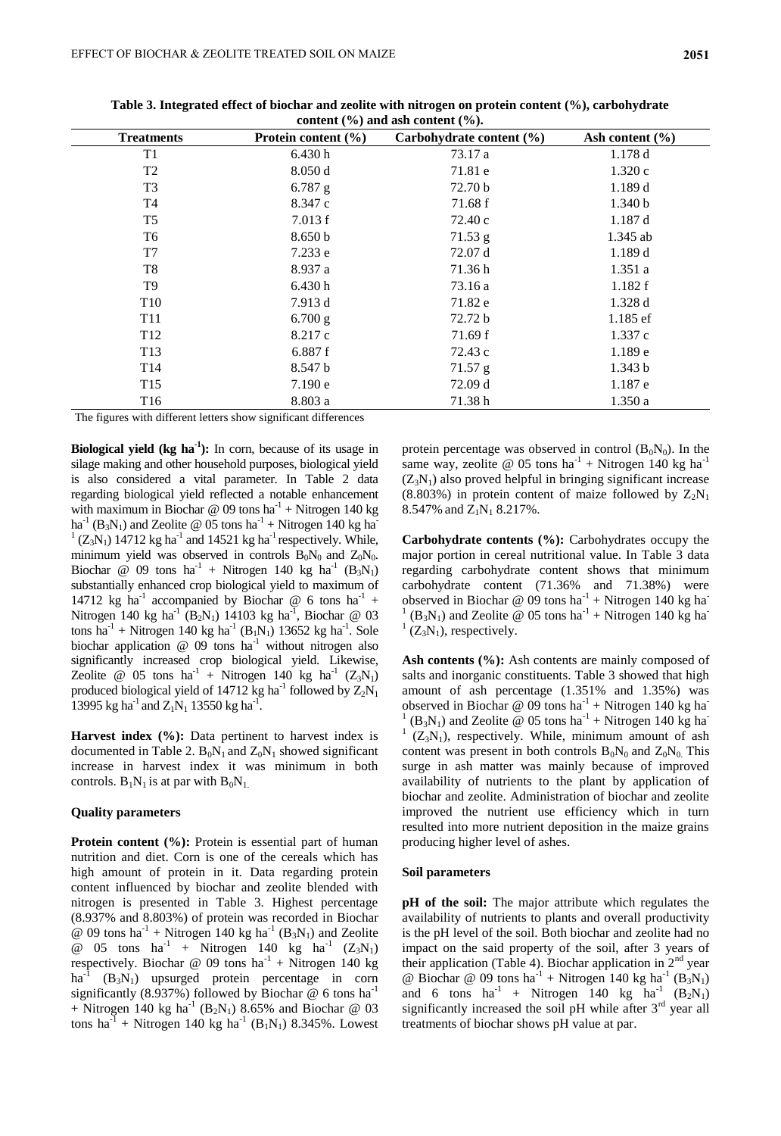| CONCENT (70) and ash Content (70). |                         |                          |                     |  |  |
|------------------------------------|-------------------------|--------------------------|---------------------|--|--|
| <b>Treatments</b>                  | Protein content $(\% )$ | Carbohydrate content (%) | Ash content $(\% )$ |  |  |
| T <sub>1</sub>                     | 6.430h                  | 73.17 a                  | 1.178d              |  |  |
| T <sub>2</sub>                     | 8.050d                  | 71.81 e                  | 1.320c              |  |  |
| T <sub>3</sub>                     | $6.787$ g               | 72.70 <sub>b</sub>       | 1.189d              |  |  |
| T4                                 | 8.347 c                 | 71.68 f                  | 1.340 b             |  |  |
| T <sub>5</sub>                     | 7.013 f                 | 72.40 c                  | 1.187d              |  |  |
| T6                                 | 8.650 b                 | 71.53 g                  | $1.345$ ab          |  |  |
| T7                                 | 7.233 e                 | 72.07 d                  | 1.189d              |  |  |
| T8                                 | 8.937 a                 | 71.36h                   | 1.351a              |  |  |
| T9                                 | 6.430 h                 | 73.16 a                  | 1.182 f             |  |  |
| T <sub>10</sub>                    | 7.913 d                 | 71.82 e                  | 1.328d              |  |  |
| T <sub>11</sub>                    | $6.700$ g               | 72.72 b                  | $1.185$ ef          |  |  |
| T <sub>12</sub>                    | 8.217 c                 | 71.69 f                  | 1.337c              |  |  |
| T <sub>13</sub>                    | 6.887f                  | 72.43 c                  | 1.189e              |  |  |
| T14                                | 8.547 b                 | 71.57 g                  | 1.343 b             |  |  |
| T <sub>15</sub>                    | 7.190 e                 | 72.09 d                  | 1.187 e             |  |  |
| T <sub>16</sub>                    | 8.803a                  | 71.38h                   | 1.350a              |  |  |

**Table 3. Integrated effect of biochar and zeolite with nitrogen on protein content (%), carbohydrate content (%) and ash content (%).**

The figures with different letters show significant differences

**Biological yield (kg ha-1 ):** In corn, because of its usage in silage making and other household purposes, biological yield is also considered a vital parameter. In Table 2 data regarding biological yield reflected a notable enhancement with maximum in Biochar @ 09 tons  $ha^{-1}$  + Nitrogen 140 kg ha<sup>-1</sup> (B<sub>3</sub>N<sub>1</sub>) and Zeolite @ 05 tons ha<sup>-1</sup> + Nitrogen 140 kg ha<sup>-</sup>  $1 (Z_3 N_1) 14712$  kg ha<sup>-1</sup> and 14521 kg ha<sup>-1</sup> respectively. While, minimum yield was observed in controls  $B_0N_0$  and  $Z_0N_0$ . Biochar @ 09 tons  $ha^{-1}$  + Nitrogen 140 kg  $ha^{-1}$  (B<sub>3</sub>N<sub>1</sub>) substantially enhanced crop biological yield to maximum of 14712 kg ha<sup>-1</sup> accompanied by Biochar @ 6 tons ha<sup>-1</sup> + Nitrogen 140 kg ha<sup>-1</sup> (B<sub>2</sub>N<sub>1</sub>) 14103 kg ha<sup>-1</sup>, Biochar @ 03 tons ha<sup>-1</sup> + Nitrogen 140 kg ha<sup>-1</sup> (B<sub>1</sub>N<sub>1</sub>) 13652 kg ha<sup>-1</sup>. Sole biochar application  $@$  09 tons  $ha^{-1}$  without nitrogen also significantly increased crop biological yield. Likewise, Zeolite @ 05 tons  $ha^{-1}$  + Nitrogen 140 kg  $ha^{-1}$  (Z<sub>3</sub>N<sub>1</sub>) produced biological yield of 14712 kg ha<sup>-1</sup> followed by  $Z_2N_1$ 13995 kg ha<sup>-1</sup> and  $Z_1N_1$  13550 kg ha<sup>-1</sup>.

**Harvest index (%):** Data pertinent to harvest index is documented in Table 2.  $B_0N_1$  and  $Z_0N_1$  showed significant increase in harvest index it was minimum in both controls.  $B_1N_1$  is at par with  $B_0N_1$ .

#### **Quality parameters**

**Protein content (%):** Protein is essential part of human nutrition and diet. Corn is one of the cereals which has high amount of protein in it. Data regarding protein content influenced by biochar and zeolite blended with nitrogen is presented in Table 3. Highest percentage (8.937% and 8.803%) of protein was recorded in Biochar @ 09 tons ha<sup>-1</sup> + Nitrogen 140 kg ha<sup>-1</sup> (B<sub>3</sub>N<sub>1</sub>) and Zeolite @ 05 tons  $ha^{-1}$  + Nitrogen 140 kg  $ha^{-1}$  (Z<sub>3</sub>N<sub>1</sub>) respectively. Biochar @ 09 tons  $ha^{-1}$  + Nitrogen 140 kg ha<sup>-1</sup> (B<sub>3</sub>N<sub>1</sub>) upsurged protein percentage in corn significantly (8.937%) followed by Biochar  $@$  6 tons ha<sup>-1</sup> + Nitrogen 140 kg ha<sup>-1</sup> (B<sub>2</sub>N<sub>1</sub>) 8.65% and Biochar @ 03 tons ha<sup>-1</sup> + Nitrogen 140 kg ha<sup>-1</sup> (B<sub>1</sub>N<sub>1</sub>) 8.345%. Lowest protein percentage was observed in control  $(B_0N_0)$ . In the same way, zeolite @ 05 tons  $ha^{-1}$  + Nitrogen 140 kg  $ha^{-1}$  $(Z_3N_1)$  also proved helpful in bringing significant increase  $(8.803\%)$  in protein content of maize followed by  $Z_2N_1$ 8.547% and  $Z_1N_1$  8.217%.

**Carbohydrate contents (%):** Carbohydrates occupy the major portion in cereal nutritional value. In Table 3 data regarding carbohydrate content shows that minimum carbohydrate content (71.36% and 71.38%) were observed in Biochar @ 09 tons  $ha^{-1}$  + Nitrogen 140 kg ha 1  $(B_3N_1)$  and Zeolite @ 05 tons ha<sup>-1</sup> + Nitrogen 140 kg ha<sup>-1</sup>  ${}^{1}$  (Z<sub>3</sub>N<sub>1</sub>), respectively.

Ash contents (%): Ash contents are mainly composed of salts and inorganic constituents. Table 3 showed that high amount of ash percentage (1.351% and 1.35%) was observed in Biochar @ 09 tons  $ha^{-1}$  + Nitrogen 140 kg ha 1  $(B_3N_1)$  and Zeolite @ 05 tons ha<sup>-1</sup> + Nitrogen 140 kg ha<sup>-1</sup> 1  $(Z_3N_1)$ , respectively. While, minimum amount of ash content was present in both controls  $B_0N_0$  and  $Z_0N_0$ . This surge in ash matter was mainly because of improved availability of nutrients to the plant by application of biochar and zeolite. Administration of biochar and zeolite improved the nutrient use efficiency which in turn resulted into more nutrient deposition in the maize grains producing higher level of ashes.

#### **Soil parameters**

**pH of the soil:** The major attribute which regulates the availability of nutrients to plants and overall productivity is the pH level of the soil. Both biochar and zeolite had no impact on the said property of the soil, after 3 years of their application (Table 4). Biochar application in  $2<sup>nd</sup>$  year @ Biochar @ 09 tons ha<sup>-1</sup> + Nitrogen 140 kg ha<sup>-1</sup> (B<sub>3</sub>N<sub>1</sub>) and 6 tons  $ha^{-1}$  + Nitrogen 140 kg  $ha^{-1}$  (B<sub>2</sub>N<sub>1</sub>) significantly increased the soil pH while after  $3<sup>rd</sup>$  year all treatments of biochar shows pH value at par.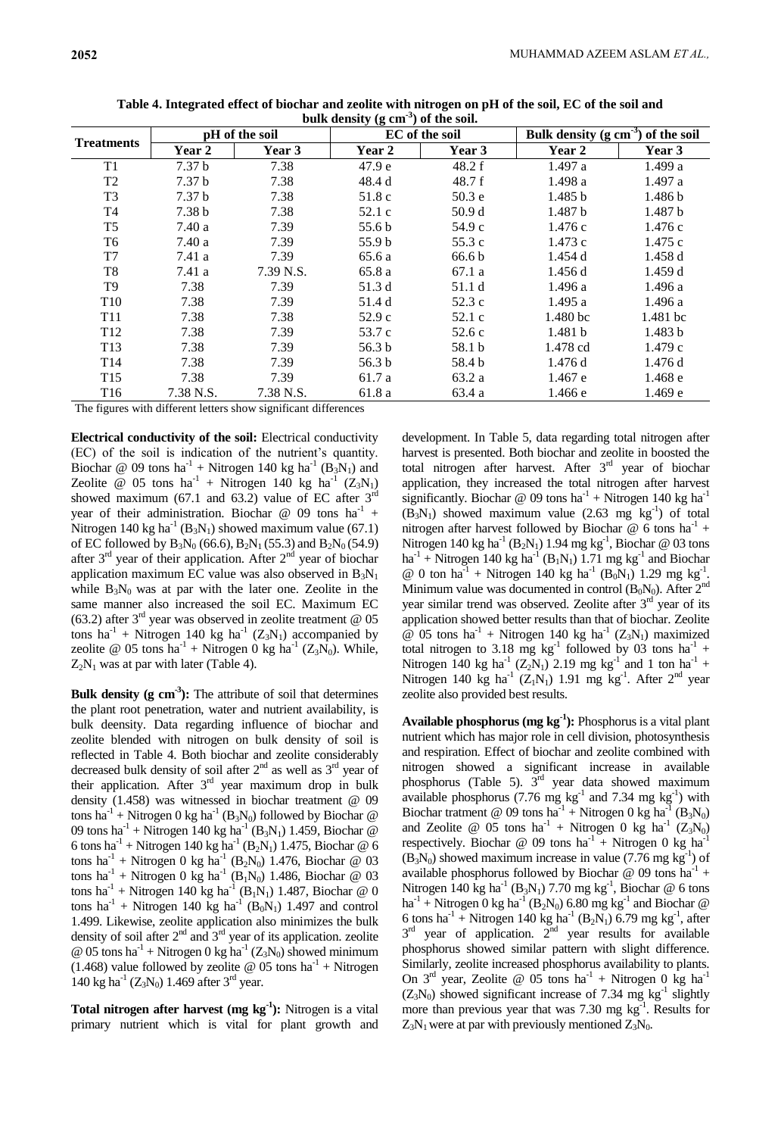| <b>Treatments</b> | pH of the soil    |           | ืัง ∖⊟ "<br>EC of the soil |                   | Bulk density $(g \text{ cm}^{-3})$ of the soil |                    |
|-------------------|-------------------|-----------|----------------------------|-------------------|------------------------------------------------|--------------------|
|                   | Year 2            | Year 3    | <b>Year 2</b>              | Year 3            | Year 2                                         | Year 3             |
| T1                | 7.37 <sub>b</sub> | 7.38      | 47.9 <sub>e</sub>          | 48.2 f            | 1.497a                                         | 1.499a             |
| T <sub>2</sub>    | 7.37 <sub>b</sub> | 7.38      | 48.4 d                     | 48.7 f            | 1.498 a                                        | 1.497a             |
| T <sub>3</sub>    | 7.37 <sub>b</sub> | 7.38      | 51.8 c                     | 50.3 <sub>e</sub> | 1.485 b                                        | 1.486 b            |
| T <sub>4</sub>    | 7.38 <sub>b</sub> | 7.38      | 52.1 c                     | 50.9d             | 1.487 b                                        | 1.487 <sub>b</sub> |
| T <sub>5</sub>    | 7.40a             | 7.39      | 55.6 b                     | 54.9 c            | 1.476c                                         | 1.476c             |
| T6                | 7.40a             | 7.39      | 55.9 b                     | 55.3 c            | 1.473c                                         | 1.475c             |
| T7                | 7.41a             | 7.39      | 65.6 a                     | 66.6 <sub>b</sub> | 1.454 d                                        | 1.458d             |
| T <sub>8</sub>    | 7.41a             | 7.39 N.S. | 65.8 a                     | 67.1 a            | 1.456d                                         | 1.459d             |
| T <sub>9</sub>    | 7.38              | 7.39      | 51.3 d                     | 51.1 d            | 1.496a                                         | 1.496a             |
| T <sub>10</sub>   | 7.38              | 7.39      | 51.4 d                     | 52.3 c            | 1.495a                                         | 1.496a             |
| T <sub>11</sub>   | 7.38              | 7.38      | 52.9c                      | 52.1 c            | 1.480 bc                                       | 1.481 bc           |
| T <sub>12</sub>   | 7.38              | 7.39      | 53.7 c                     | 52.6c             | 1.481 b                                        | 1.483 b            |
| T <sub>13</sub>   | 7.38              | 7.39      | 56.3 <sub>b</sub>          | 58.1 b            | 1.478 cd                                       | 1.479c             |
| T <sub>14</sub>   | 7.38              | 7.39      | 56.3 <sub>b</sub>          | 58.4 b            | 1.476 d                                        | 1.476 d            |
| T <sub>15</sub>   | 7.38              | 7.39      | 61.7 a                     | 63.2 a            | 1.467 e                                        | 1.468 e            |
| T <sub>16</sub>   | 7.38 N.S.         | 7.38 N.S. | 61.8 a                     | 63.4 a            | 1.466 e                                        | 1.469 e            |

**Table 4. Integrated effect of biochar and zeolite with nitrogen on pH of the soil, EC of the soil and bulk density (g cm-3 ) of the soil.**

The figures with different letters show significant differences

**Electrical conductivity of the soil:** Electrical conductivity (EC) of the soil is indication of the nutrient's quantity. Biochar @ 09 tons  $ha^{-1}$  + Nitrogen 140 kg  $ha^{-1}$  ( $B_3N_1$ ) and Zeolite @ 05 tons  $ha^{-1}$  + Nitrogen 140 kg  $ha^{-1}$  (Z<sub>3</sub>N<sub>1</sub>) showed maximum (67.1 and 63.2) value of EC after  $3<sup>rd</sup>$ year of their administration. Biochar @ 09 tons  $ha^{-1}$  + Nitrogen 140 kg ha<sup>-1</sup> (B<sub>3</sub>N<sub>1</sub>) showed maximum value (67.1) of EC followed by  $B_3N_0$  (66.6),  $B_2N_1$  (55.3) and  $B_2N_0$  (54.9) after  $3<sup>rd</sup>$  year of their application. After  $2<sup>nd</sup>$  year of biochar application maximum EC value was also observed in  $B_3N_1$ while  $B_3N_0$  was at par with the later one. Zeolite in the same manner also increased the soil EC. Maximum EC (63.2) after  $3<sup>rd</sup>$  year was observed in zeolite treatment @ 05 tons ha<sup>-1</sup> + Nitrogen 140 kg ha<sup>-1</sup> ( $Z_3N_1$ ) accompanied by zeolite @ 05 tons  $ha^{-1}$  + Nitrogen 0 kg  $ha^{-1}$  (Z<sub>3</sub>N<sub>0</sub>). While,  $Z_2N_1$  was at par with later (Table 4).

**Bulk density (g cm-3 ):** The attribute of soil that determines the plant root penetration, water and nutrient availability, is bulk deensity. Data regarding influence of biochar and zeolite blended with nitrogen on bulk density of soil is reflected in Table 4. Both biochar and zeolite considerably decreased bulk density of soil after  $2<sup>nd</sup>$  as well as  $3<sup>rd</sup>$  year of their application. After  $3<sup>rd</sup>$  year maximum drop in bulk density (1.458) was witnessed in biochar treatment @ 09 tons ha<sup>-1</sup> + Nitrogen 0 kg ha<sup>-1</sup> (B<sub>3</sub>N<sub>0</sub>) followed by Biochar @ 09 tons ha<sup>-1</sup> + Nitrogen 140 kg ha<sup>-1</sup> (B<sub>3</sub>N<sub>1</sub>) 1.459, Biochar @ 6 tons ha<sup>-1</sup> + Nitrogen 140 kg ha<sup>-1</sup> (B<sub>2</sub>N<sub>1</sub>) 1.475, Biochar @ 6 tons ha<sup>-1</sup> + Nitrogen 0 kg ha<sup>-1</sup> (B<sub>2</sub>N<sub>0</sub>) 1.476, Biochar @ 03 tons ha<sup>-1</sup> + Nitrogen 0 kg ha<sup>-1</sup> (B<sub>1</sub>N<sub>0</sub>) 1.486, Biochar @ 03 tons ha<sup>-1</sup> + Nitrogen 140 kg ha<sup>-1</sup> (B<sub>1</sub>N<sub>1</sub>) 1.487, Biochar @ 0 tons ha<sup>-1</sup> + Nitrogen 140 kg ha<sup>-1</sup> (B<sub>0</sub>N<sub>1</sub>) 1.497 and control 1.499. Likewise, zeolite application also minimizes the bulk density of soil after  $2<sup>nd</sup>$  and  $3<sup>rd</sup>$  year of its application. zeolite @ 05 tons  $ha^{-1}$  + Nitrogen 0 kg  $ha^{-1}$  (Z<sub>3</sub>N<sub>0</sub>) showed minimum  $(1.468)$  value followed by zeolite @ 05 tons ha<sup>-1</sup> + Nitrogen 140 kg ha<sup>-1</sup> ( $Z_3N_0$ ) 1.469 after 3<sup>rd</sup> year.

**Total nitrogen after harvest (mg kg-1 ):** Nitrogen is a vital primary nutrient which is vital for plant growth and

development. In Table 5, data regarding total nitrogen after harvest is presented. Both biochar and zeolite in boosted the total nitrogen after harvest. After  $3<sup>rd</sup>$  year of biochar application, they increased the total nitrogen after harvest significantly. Biochar @ 09 tons  $ha^{-1}$  + Nitrogen 140 kg  $ha^{-1}$  $(B_3N_1)$  showed maximum value (2.63 mg kg<sup>-1</sup>) of total nitrogen after harvest followed by Biochar  $@$  6 tons ha<sup>-1</sup> + Nitrogen 140 kg ha<sup>-1</sup> (B<sub>2</sub>N<sub>1</sub>) 1.94 mg kg<sup>-1</sup>, Biochar @ 03 tons  $ha^{-1}$  + Nitrogen 140 kg  $ha^{-1}$  (B<sub>1</sub>N<sub>1</sub>) 1.71 mg kg<sup>-1</sup> and Biochar @ 0 ton ha<sup>-1</sup> + Nitrogen 140 kg ha<sup>-1</sup> (B<sub>0</sub>N<sub>1</sub>) 1.29 mg kg<sup>-1</sup> . Minimum value was documented in control  $(B_0N_0)$ . After  $2^{nd}$ year similar trend was observed. Zeolite after 3<sup>rd</sup> year of its application showed better results than that of biochar. Zeolite  $\omega$  05 tons ha<sup>-1</sup> + Nitrogen 140 kg ha<sup>-1</sup> (Z<sub>3</sub>N<sub>1</sub>) maximized total nitrogen to 3.18 mg  $kg^{-1}$  followed by 03 tons ha<sup>-1</sup> + Nitrogen 140 kg ha<sup>-1</sup> (Z<sub>2</sub>N<sub>1</sub>) 2.19 mg kg<sup>-1</sup> and 1 ton ha<sup>-1</sup> + Nitrogen 140 kg ha<sup>-1</sup> ( $Z_1N_1$ ) 1.91 mg kg<sup>-1</sup>. After 2<sup>nd</sup> year zeolite also provided best results.

**Available phosphorus (mg kg-1 ):** Phosphorus is a vital plant nutrient which has major role in cell division, photosynthesis and respiration. Effect of biochar and zeolite combined with nitrogen showed a significant increase in available phosphorus (Table 5).  $3<sup>rd</sup>$  year data showed maximum available phosphorus (7.76 mg  $\text{kg}^{-1}$  and 7.34 mg  $\text{kg}^{-1}$ ) with Biochar tratment @ 09 tons  $ha^{-1}$  + Nitrogen 0 kg  $ha^{-1}$  (B<sub>3</sub>N<sub>0</sub>) and Zeolite @ 05 tons  $ha^{-1}$  + Nitrogen 0 kg  $ha^{-1}$  (Z<sub>3</sub>N<sub>0</sub>) respectively. Biochar @ 09 tons  $ha^{-1}$  + Nitrogen 0 kg  $ha^{-1}$  $(B_3N_0)$  showed maximum increase in value (7.76 mg kg<sup>-1</sup>) of available phosphorus followed by Biochar  $@$  09 tons ha<sup>-1</sup> + Nitrogen 140 kg ha<sup>-1</sup> (B<sub>3</sub>N<sub>1</sub>) 7.70 mg kg<sup>-1</sup>, Biochar @ 6 tons ha<sup>-1</sup> + Nitrogen 0 kg ha<sup>-1</sup> (B<sub>2</sub>N<sub>0</sub>) 6.80 mg kg<sup>-1</sup> and Biochar @ 6 tons ha<sup>-1</sup> + Nitrogen 140 kg ha<sup>-1</sup> (B<sub>2</sub>N<sub>1</sub>) 6.79 mg kg<sup>-1</sup>, after  $3<sup>rd</sup>$  year of application.  $2<sup>nd</sup>$  year results for available phosphorus showed similar pattern with slight difference. Similarly, zeolite increased phosphorus availability to plants. On  $3<sup>rd</sup>$  year, Zeolite @ 05 tons ha<sup>-1</sup> + Nitrogen 0 kg ha<sup>-1</sup>  $(Z_3N_0)$  showed significant increase of 7.34 mg kg<sup>-1</sup> slightly more than previous year that was  $7.30 \text{ mg kg}^{-1}$ . Results for  $Z_3N_1$  were at par with previously mentioned  $Z_3N_0$ .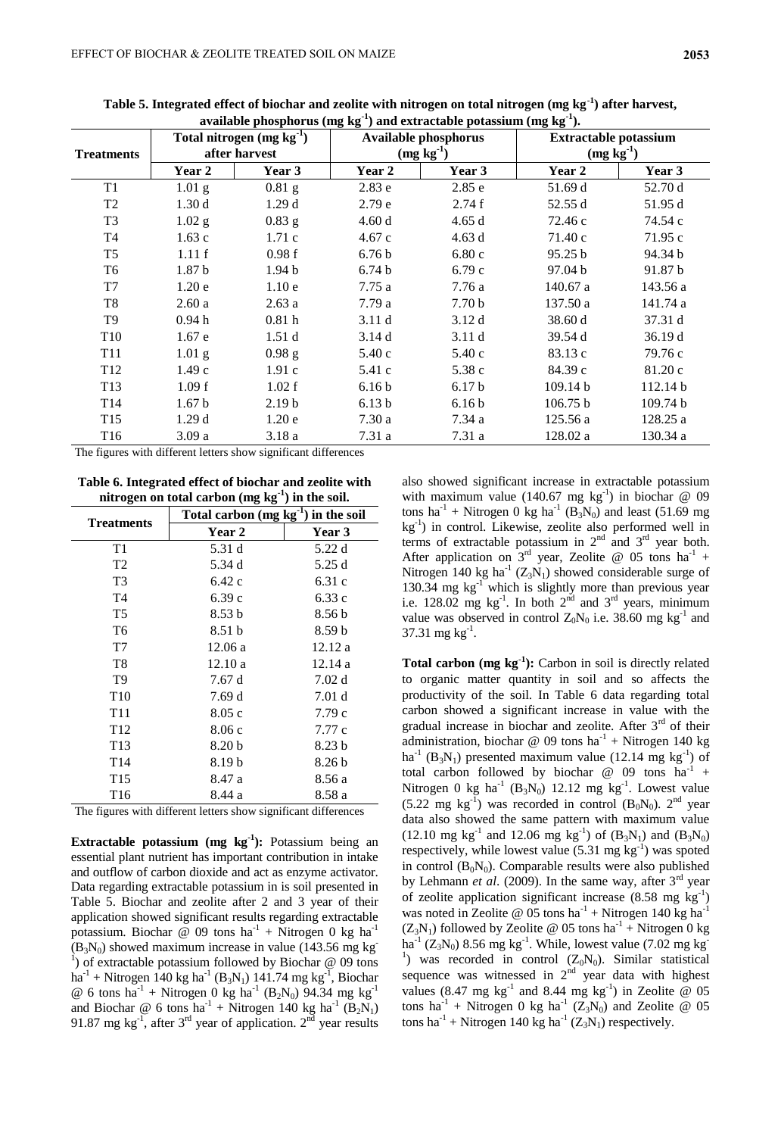| <b>Treatments</b> | Total nitrogen $(mg kg-1)$<br>after harvest |                   | <b>Available phosphorus</b><br>$(mg kg-1)$ |                   | <b>Extractable potassium</b><br>$(mg kg-1)$ |          |
|-------------------|---------------------------------------------|-------------------|--------------------------------------------|-------------------|---------------------------------------------|----------|
|                   | Year 2                                      | Year 3            | Year 2                                     | Year 3            | Year 2                                      | Year 3   |
| T1                | $1.01$ g                                    | $0.81$ g          | 2.83e                                      | 2.85 e            | 51.69 d                                     | 52.70 d  |
| T <sub>2</sub>    | 1.30d                                       | 1.29d             | 2.79 e                                     | 2.74f             | 52.55 d                                     | 51.95 d  |
| T <sub>3</sub>    | $1.02$ g                                    | $0.83$ g          | 4.60d                                      | 4.65d             | 72.46 c                                     | 74.54 c  |
| T4                | 1.63c                                       | 1.71c             | 4.67c                                      | 4.63d             | 71.40 c                                     | 71.95c   |
| T <sub>5</sub>    | 1.11f                                       | 0.98f             | 6.76 <sub>b</sub>                          | 6.80c             | 95.25 b                                     | 94.34 b  |
| T <sub>6</sub>    | 1.87 <sub>b</sub>                           | 1.94 <sub>b</sub> | 6.74 <sub>b</sub>                          | 6.79 с            | 97.04 b                                     | 91.87 b  |
| T <sub>7</sub>    | 1.20e                                       | 1.10e             | 7.75a                                      | 7.76 a            | 140.67a                                     | 143.56 a |
| T8                | 2.60a                                       | 2.63a             | 7.79a                                      | 7.70 <sub>b</sub> | 137.50 a                                    | 141.74 a |
| T <sub>9</sub>    | 0.94 <sub>h</sub>                           | 0.81 <sub>h</sub> | 3.11d                                      | 3.12d             | 38.60 d                                     | 37.31 d  |
| T <sub>10</sub>   | 1.67e                                       | 1.51d             | 3.14d                                      | 3.11d             | 39.54 d                                     | 36.19d   |
| T <sub>11</sub>   | $1.01$ g                                    | $0.98$ g          | 5.40c                                      | 5.40c             | 83.13 c                                     | 79.76 c  |
| T <sub>12</sub>   | 1.49c                                       | 1.91c             | 5.41 c                                     | 5.38 c            | 84.39 c                                     | 81.20 c  |
| T13               | 1.09 f                                      | 1.02 f            | 6.16 <sub>b</sub>                          | 6.17 <sub>b</sub> | 109.14 b                                    | 112.14 b |
| T <sub>14</sub>   | 1.67 <sub>b</sub>                           | 2.19 <sub>b</sub> | 6.13 <sub>b</sub>                          | 6.16 <sub>b</sub> | 106.75 b                                    | 109.74 b |
| T <sub>15</sub>   | 1.29d                                       | 1.20e             | 7.30a                                      | 7.34 a            | 125.56 a                                    | 128.25 a |
| T <sub>16</sub>   | 3.09a                                       | 3.18a             | 7.31 a                                     | 7.31 a            | 128.02 a                                    | 130.34 a |

**Table 5. Integrated effect of biochar and zeolite with nitrogen on total nitrogen (mg kg-1 ) after harvest,**  $\alpha$  available phosphorus (mg kg $^{-1}$ ) and extractable potassium (mg kg $^{-1}$ ).

The figures with different letters show significant differences

**Table 6. Integrated effect of biochar and zeolite with nitrogen on total carbon (mg kg-1 ) in the soil.**

| <b>Treatments</b> | Total carbon $(mg kg^{-1})$ in the soil |                   |  |  |
|-------------------|-----------------------------------------|-------------------|--|--|
|                   | Year 2                                  | <b>Year 3</b>     |  |  |
| T1                | 5.31 d                                  | 5.22 d            |  |  |
| T <sub>2</sub>    | 5.34 d                                  | 5.25 d            |  |  |
| T3                | 6.42 c                                  | 6.31 c            |  |  |
| T <sub>4</sub>    | 6.39 c                                  | 6.33 c            |  |  |
| T5                | 8.53 b                                  | 8.56 b            |  |  |
| T <sub>6</sub>    | 8.51 b                                  | 8.59 h            |  |  |
| T7                | 12.06a                                  | 12.12a            |  |  |
| T <sub>8</sub>    | 12.10a                                  | 12.14a            |  |  |
| T9                | 7.67 d                                  | 7.02d             |  |  |
| T <sub>10</sub>   | 7.69 d                                  | 7.01 d            |  |  |
| T <sub>11</sub>   | 8.05c                                   | 7.79 c            |  |  |
| T <sub>12</sub>   | 8.06c                                   | 7.77 c            |  |  |
| T <sub>13</sub>   | 8.20 b                                  | 8.23 <sub>b</sub> |  |  |
| T <sub>14</sub>   | 8.19 b                                  | 8.26 b            |  |  |
| T <sub>15</sub>   | 8.47 a                                  | 8.56 a            |  |  |
| T <sub>16</sub>   | 8.44 a                                  | 8.58 a            |  |  |

The figures with different letters show significant differences

**Extractable potassium (mg kg<sup>-1</sup>):** Potassium being an essential plant nutrient has important contribution in intake and outflow of carbon dioxide and act as enzyme activator. Data regarding extractable potassium in is soil presented in Table 5. Biochar and zeolite after 2 and 3 year of their application showed significant results regarding extractable potassium. Biochar @ 09 tons  $ha^{-1}$  + Nitrogen 0 kg  $ha^{-1}$  $(B_3N_0)$  showed maximum increase in value (143.56 mg kg) <sup>1</sup>) of extractable potassium followed by Biochar  $@$  09 tons  $ha^{-1}$  + Nitrogen 140 kg ha<sup>-1</sup> (B<sub>3</sub>N<sub>1</sub>) 141.74 mg kg<sup>-1</sup>, Biochar @ 6 tons ha<sup>-1</sup> + Nitrogen 0 kg ha<sup>-1</sup> (B<sub>2</sub>N<sub>0</sub>) 94.34 mg kg<sup>-1</sup> and Biochar @ 6 tons  $ha^{-1}$  + Nitrogen 140 kg  $ha^{-1}$  ( $B_2N_1$ ) 91.87 mg kg<sup>-1</sup>, after 3<sup>rd</sup> year of application.  $2^{nd}$  year results also showed significant increase in extractable potassium with maximum value  $(140.67 \text{ mg kg}^{-1})$  in biochar @ 09 tons ha<sup>-1</sup> + Nitrogen 0 kg ha<sup>-1</sup> (B<sub>3</sub>N<sub>0</sub>) and least (51.69 mg kg-1 ) in control. Likewise, zeolite also performed well in terms of extractable potassium in  $2<sup>nd</sup>$  and  $3<sup>rd</sup>$  year both. After application on  $3<sup>rd</sup>$  year, Zeolite @ 05 tons ha<sup>-1</sup> + Nitrogen 140 kg ha<sup>-1</sup> ( $Z_3N_1$ ) showed considerable surge of 130.34 mg  $kg^{-1}$  which is slightly more than previous year i.e. 128.02 mg  $kg^{-1}$ . In both  $2^{nd}$  and  $3^{rd}$  years, minimum value was observed in control  $Z_0N_0$  i.e. 38.60 mg kg<sup>-1</sup> and  $37.31 \text{ mg kg}^{-1}$ .

**Total carbon (mg kg-1 ):** Carbon in soil is directly related to organic matter quantity in soil and so affects the productivity of the soil. In Table 6 data regarding total carbon showed a significant increase in value with the gradual increase in biochar and zeolite. After 3<sup>rd</sup> of their administration, biochar @ 09 tons  $ha^{-1}$  + Nitrogen 140 kg ha<sup>-1</sup> (B<sub>3</sub>N<sub>1</sub>) presented maximum value (12.14 mg kg<sup>-1</sup>) of total carbon followed by biochar  $\omega$  09 tons ha<sup>-1</sup> + Nitrogen 0 kg ha<sup>-1</sup> (B<sub>3</sub>N<sub>0</sub>) 12.12 mg kg<sup>-1</sup>. Lowest value  $(5.22 \text{ mg kg}^{-1})$  was recorded in control  $(B_0N_0)$ .  $2^{\text{nd}}$  year data also showed the same pattern with maximum value (12.10 mg kg<sup>-1</sup> and 12.06 mg kg<sup>-1</sup>) of  $(B_3N_1)$  and  $(B_3N_0)$ respectively, while lowest value  $(5.31 \text{ mg kg}^{-1})$  was spoted in control  $(B_0N_0)$ . Comparable results were also published by Lehmann *et al*. (2009). In the same way, after 3rd year of zeolite application significant increase  $(8.58 \text{ mg kg}^{-1})$ was noted in Zeolite @ 05 tons  $ha^{-1}$  + Nitrogen 140 kg  $ha^{-1}$  $(Z_3N_1)$  followed by Zeolite @ 05 tons ha<sup>-1</sup> + Nitrogen 0 kg ha<sup>-1</sup> (Z<sub>3</sub>N<sub>0</sub>) 8.56 mg kg<sup>-1</sup>. While, lowest value (7.02 mg kg<sup>-</sup> <sup>1</sup>) was recorded in control  $(Z_0N_0)$ . Similar statistical sequence was witnessed in  $2<sup>nd</sup>$  year data with highest values (8.47 mg kg<sup>-1</sup> and 8.44 mg kg<sup>-1</sup>) in Zeolite @ 05 tons ha<sup>-1</sup> + Nitrogen 0 kg ha<sup>-1</sup>  $(Z_3N_0)$  and Zeolite @ 05 tons ha<sup>-1</sup> + Nitrogen 140 kg ha<sup>-1</sup>  $(Z_3N_1)$  respectively.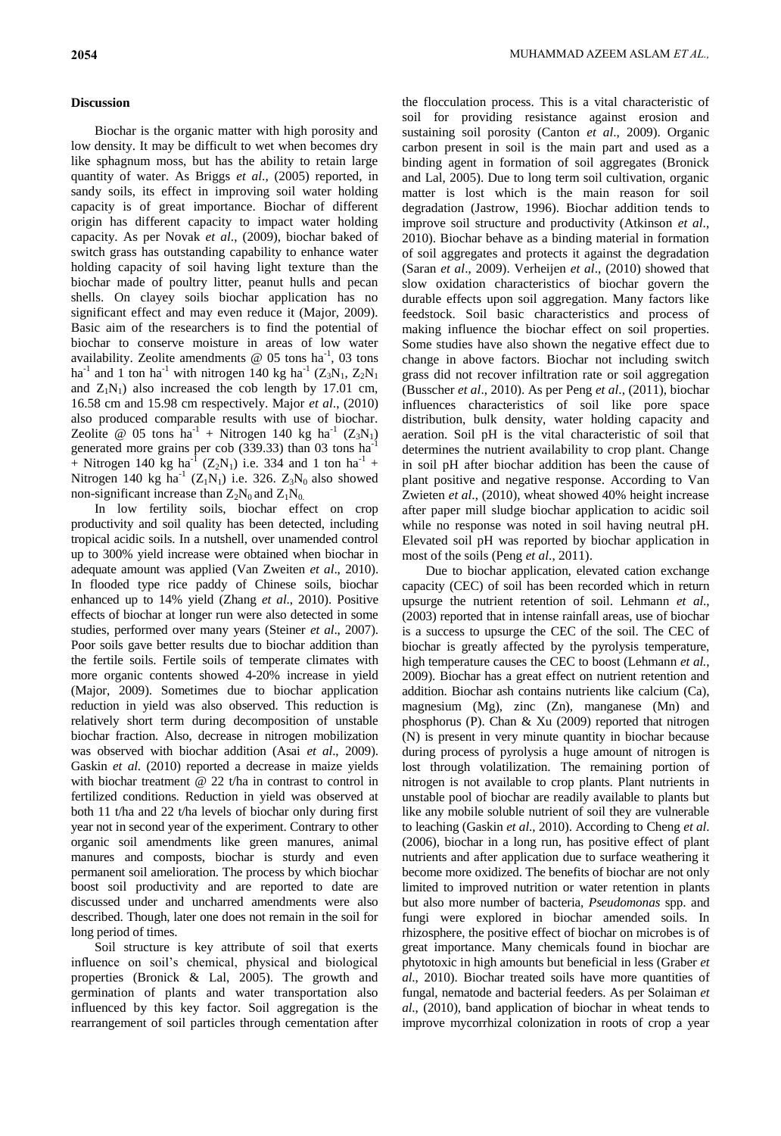## **Discussion**

Biochar is the organic matter with high porosity and low density. It may be difficult to wet when becomes dry like sphagnum moss, but has the ability to retain large quantity of water. As Briggs *et al*., (2005) reported, in sandy soils, its effect in improving soil water holding capacity is of great importance. Biochar of different origin has different capacity to impact water holding capacity. As per Novak *et al*., (2009), biochar baked of switch grass has outstanding capability to enhance water holding capacity of soil having light texture than the biochar made of poultry litter, peanut hulls and pecan shells. On clayey soils biochar application has no significant effect and may even reduce it (Major, 2009). Basic aim of the researchers is to find the potential of biochar to conserve moisture in areas of low water availability. Zeolite amendments  $\omega$  05 tons ha<sup>-1</sup>, 03 tons ha<sup>-1</sup> and 1 ton ha<sup>-1</sup> with nitrogen 140 kg ha<sup>-1</sup> ( $Z_3N_1$ ,  $Z_2N_1$ and  $Z_1N_1$ ) also increased the cob length by 17.01 cm, 16.58 cm and 15.98 cm respectively. Major *et al*., (2010) also produced comparable results with use of biochar. Zeolite @ 05 tons  $ha^{-1}$  + Nitrogen 140 kg  $ha^{-1}$  (Z<sub>3</sub>N<sub>1</sub>) generated more grains per cob  $(339.33)$  than 03 tons ha<sup>-1</sup> + Nitrogen 140 kg ha<sup>-1</sup> (Z<sub>2</sub>N<sub>1</sub>) i.e. 334 and 1 ton ha<sup>-1</sup> + Nitrogen 140 kg ha<sup>-1</sup> ( $Z_1N_1$ ) i.e. 326.  $Z_3N_0$  also showed non-significant increase than  $Z_2N_0$  and  $Z_1N_0$ .

In low fertility soils, biochar effect on crop productivity and soil quality has been detected, including tropical acidic soils. In a nutshell, over unamended control up to 300% yield increase were obtained when biochar in adequate amount was applied (Van Zweiten *et al*., 2010). In flooded type rice paddy of Chinese soils, biochar enhanced up to 14% yield (Zhang *et al*., 2010). Positive effects of biochar at longer run were also detected in some studies, performed over many years (Steiner *et al*., 2007). Poor soils gave better results due to biochar addition than the fertile soils. Fertile soils of temperate climates with more organic contents showed 4-20% increase in yield (Major, 2009). Sometimes due to biochar application reduction in yield was also observed. This reduction is relatively short term during decomposition of unstable biochar fraction. Also, decrease in nitrogen mobilization was observed with biochar addition (Asai *et al*., 2009). Gaskin *et al*. (2010) reported a decrease in maize yields with biochar treatment @ 22 t/ha in contrast to control in fertilized conditions. Reduction in yield was observed at both 11 t/ha and 22 t/ha levels of biochar only during first year not in second year of the experiment. Contrary to other organic soil amendments like green manures, animal manures and composts, biochar is sturdy and even permanent soil amelioration. The process by which biochar boost soil productivity and are reported to date are discussed under and uncharred amendments were also described. Though, later one does not remain in the soil for long period of times.

Soil structure is key attribute of soil that exerts influence on soil's chemical, physical and biological properties (Bronick & Lal, 2005). The growth and germination of plants and water transportation also influenced by this key factor. Soil aggregation is the rearrangement of soil particles through cementation after the flocculation process. This is a vital characteristic of soil for providing resistance against erosion and sustaining soil porosity (Canton *et al*., 2009). Organic carbon present in soil is the main part and used as a binding agent in formation of soil aggregates (Bronick and Lal, 2005). Due to long term soil cultivation, organic matter is lost which is the main reason for soil degradation (Jastrow, 1996). Biochar addition tends to improve soil structure and productivity (Atkinson *et al*., 2010). Biochar behave as a binding material in formation of soil aggregates and protects it against the degradation (Saran *et al*., 2009). Verheijen *et al*., (2010) showed that slow oxidation characteristics of biochar govern the durable effects upon soil aggregation. Many factors like feedstock. Soil basic characteristics and process of making influence the biochar effect on soil properties. Some studies have also shown the negative effect due to change in above factors. Biochar not including switch grass did not recover infiltration rate or soil aggregation (Busscher *et al*., 2010). As per Peng *et al*., (2011), biochar influences characteristics of soil like pore space distribution, bulk density, water holding capacity and aeration. Soil pH is the vital characteristic of soil that determines the nutrient availability to crop plant. Change in soil pH after biochar addition has been the cause of plant positive and negative response. According to Van Zwieten *et al*., (2010), wheat showed 40% height increase after paper mill sludge biochar application to acidic soil while no response was noted in soil having neutral pH. Elevated soil pH was reported by biochar application in most of the soils (Peng *et al*., 2011).

Due to biochar application, elevated cation exchange capacity (CEC) of soil has been recorded which in return upsurge the nutrient retention of soil. Lehmann *et al*., (2003) reported that in intense rainfall areas, use of biochar is a success to upsurge the CEC of the soil. The CEC of biochar is greatly affected by the pyrolysis temperature, high temperature causes the CEC to boost (Lehmann *et al.*, 2009). Biochar has a great effect on nutrient retention and addition. Biochar ash contains nutrients like calcium (Ca), magnesium (Mg), zinc (Zn), manganese (Mn) and phosphorus (P). Chan & Xu (2009) reported that nitrogen (N) is present in very minute quantity in biochar because during process of pyrolysis a huge amount of nitrogen is lost through volatilization. The remaining portion of nitrogen is not available to crop plants. Plant nutrients in unstable pool of biochar are readily available to plants but like any mobile soluble nutrient of soil they are vulnerable to leaching (Gaskin *et al*., 2010). According to Cheng *et al*. (2006), biochar in a long run, has positive effect of plant nutrients and after application due to surface weathering it become more oxidized. The benefits of biochar are not only limited to improved nutrition or water retention in plants but also more number of bacteria, *Pseudomonas* spp. and fungi were explored in biochar amended soils. In rhizosphere, the positive effect of biochar on microbes is of great importance. Many chemicals found in biochar are phytotoxic in high amounts but beneficial in less (Graber *et al*., 2010). Biochar treated soils have more quantities of fungal, nematode and bacterial feeders. As per Solaiman *et al*., (2010), band application of biochar in wheat tends to improve mycorrhizal colonization in roots of crop a year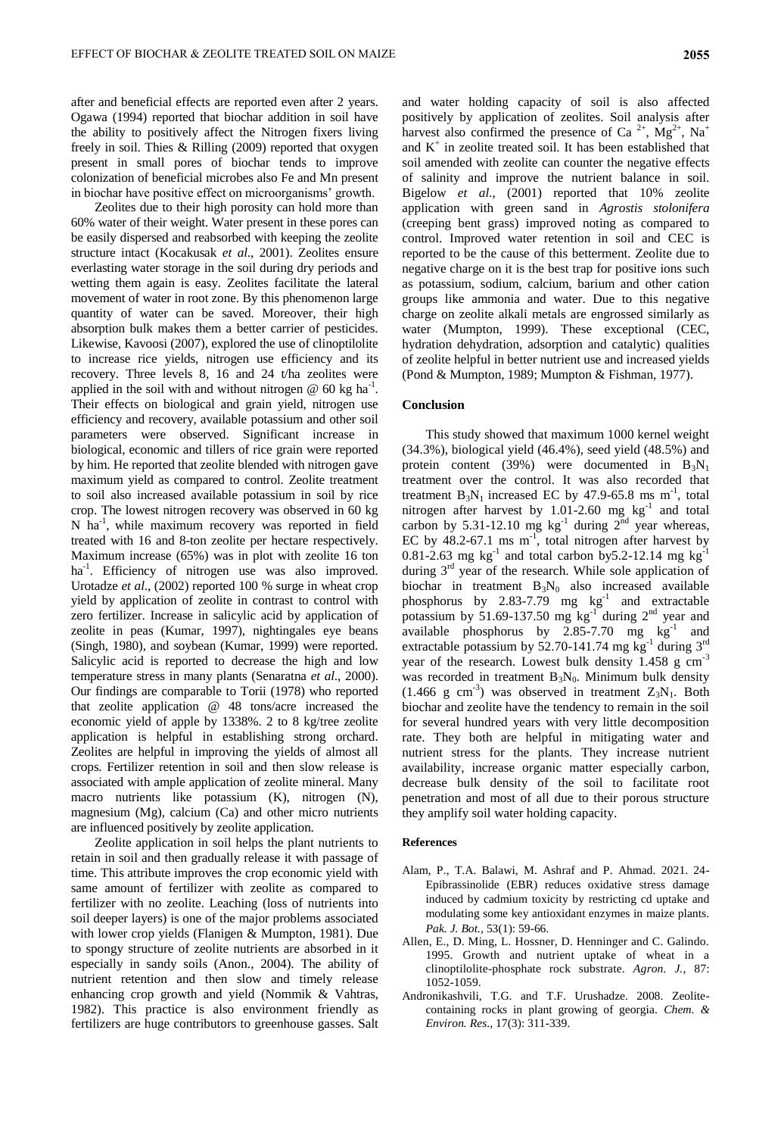after and beneficial effects are reported even after 2 years. Ogawa (1994) reported that biochar addition in soil have the ability to positively affect the Nitrogen fixers living freely in soil. Thies & Rilling (2009) reported that oxygen present in small pores of biochar tends to improve colonization of beneficial microbes also Fe and Mn present in biochar have positive effect on microorganisms' growth.

Zeolites due to their high porosity can hold more than 60% water of their weight. Water present in these pores can be easily dispersed and reabsorbed with keeping the zeolite structure intact (Kocakusak *et al*., 2001). Zeolites ensure everlasting water storage in the soil during dry periods and wetting them again is easy. Zeolites facilitate the lateral movement of water in root zone. By this phenomenon large quantity of water can be saved. Moreover, their high absorption bulk makes them a better carrier of pesticides. Likewise, Kavoosi (2007), explored the use of clinoptilolite to increase rice yields, nitrogen use efficiency and its recovery. Three levels 8, 16 and 24 t/ha zeolites were applied in the soil with and without nitrogen  $@$  60 kg ha<sup>-1</sup>. Their effects on biological and grain yield, nitrogen use efficiency and recovery, available potassium and other soil parameters were observed. Significant increase in biological, economic and tillers of rice grain were reported by him. He reported that zeolite blended with nitrogen gave maximum yield as compared to control. Zeolite treatment to soil also increased available potassium in soil by rice crop. The lowest nitrogen recovery was observed in 60 kg N ha-1 , while maximum recovery was reported in field treated with 16 and 8-ton zeolite per hectare respectively. Maximum increase (65%) was in plot with zeolite 16 ton ha<sup>-1</sup>. Efficiency of nitrogen use was also improved. Urotadze *et al*., (2002) reported 100 % surge in wheat crop yield by application of zeolite in contrast to control with zero fertilizer. Increase in salicylic acid by application of zeolite in peas (Kumar, 1997), nightingales eye beans (Singh, 1980), and soybean (Kumar, 1999) were reported. Salicylic acid is reported to decrease the high and low temperature stress in many plants (Senaratna *et al*., 2000). Our findings are comparable to Torii (1978) who reported that zeolite application @ 48 tons/acre increased the economic yield of apple by 1338%. 2 to 8 kg/tree zeolite application is helpful in establishing strong orchard. Zeolites are helpful in improving the yields of almost all crops. Fertilizer retention in soil and then slow release is associated with ample application of zeolite mineral. Many macro nutrients like potassium (K), nitrogen (N), magnesium (Mg), calcium (Ca) and other micro nutrients are influenced positively by zeolite application.

Zeolite application in soil helps the plant nutrients to retain in soil and then gradually release it with passage of time. This attribute improves the crop economic yield with same amount of fertilizer with zeolite as compared to fertilizer with no zeolite. Leaching (loss of nutrients into soil deeper layers) is one of the major problems associated with lower crop yields (Flanigen & Mumpton, 1981). Due to spongy structure of zeolite nutrients are absorbed in it especially in sandy soils (Anon., 2004). The ability of nutrient retention and then slow and timely release enhancing crop growth and yield (Nommik & Vahtras, 1982). This practice is also environment friendly as fertilizers are huge contributors to greenhouse gasses. Salt

and water holding capacity of soil is also affected positively by application of zeolites. Soil analysis after harvest also confirmed the presence of Ca<sup>2+</sup>, Mg<sup>2+</sup>, Na<sup>+</sup> and  $K^+$  in zeolite treated soil. It has been established that soil amended with zeolite can counter the negative effects of salinity and improve the nutrient balance in soil. Bigelow *et al*., (2001) reported that 10% zeolite application with green sand in *Agrostis stolonifera*  (creeping bent grass) improved noting as compared to control. Improved water retention in soil and CEC is reported to be the cause of this betterment. Zeolite due to negative charge on it is the best trap for positive ions such as potassium, sodium, calcium, barium and other cation groups like ammonia and water. Due to this negative charge on zeolite alkali metals are engrossed similarly as water (Mumpton, 1999). These exceptional (CEC, hydration dehydration, adsorption and catalytic) qualities of zeolite helpful in better nutrient use and increased yields (Pond & Mumpton, 1989; Mumpton & Fishman, 1977).

## **Conclusion**

This study showed that maximum 1000 kernel weight (34.3%), biological yield (46.4%), seed yield (48.5%) and protein content (39%) were documented in  $B_3N_1$ treatment over the control. It was also recorded that treatment  $B_3N_1$  increased EC by 47.9-65.8 ms m<sup>-1</sup>, total nitrogen after harvest by  $1.01-2.60$  mg  $\text{kg}^{-1}$  and total carbon by 5.31-12.10 mg  $kg^{-1}$  during  $2^{nd}$  year whereas, EC by  $48.2$ -67.1 ms m<sup>-1</sup>, total nitrogen after harvest by 0.81-2.63 mg kg<sup>-1</sup> and total carbon by 5.2-12.14 mg kg<sup>-1</sup> during  $3<sup>rd</sup>$  year of the research. While sole application of biochar in treatment  $B_3N_0$  also increased available phosphorus by 2.83-7.79 mg  $\text{kg}^{-1}$  and extractable potassium by 51.69-137.50 mg  $\text{kg}^{-1}$  during  $2^{\text{nd}}$  year and available phosphorus by  $2.85-7.70$  mg  $\text{kg}^{-1}$  and extractable potassium by 52.70-141.74 mg  $\text{kg}^{-1}$  during  $3^{\text{rd}}$ year of the research. Lowest bulk density 1.458 g cm-3 was recorded in treatment  $B_3N_0$ . Minimum bulk density  $(1.466 \text{ g cm}^{-3})$  was observed in treatment  $Z_3N_1$ . Both biochar and zeolite have the tendency to remain in the soil for several hundred years with very little decomposition rate. They both are helpful in mitigating water and nutrient stress for the plants. They increase nutrient availability, increase organic matter especially carbon, decrease bulk density of the soil to facilitate root penetration and most of all due to their porous structure they amplify soil water holding capacity.

#### **References**

- Alam, P., T.A. Balawi, M. Ashraf and P. Ahmad. 2021. 24- Epibrassinolide (EBR) reduces oxidative stress damage induced by cadmium toxicity by restricting cd uptake and modulating some key antioxidant enzymes in maize plants. *Pak. J. Bot.,* 53(1): 59-66.
- Allen, E., D. Ming, L. Hossner, D. Henninger and C. Galindo. 1995. Growth and nutrient uptake of wheat in a clinoptilolite-phosphate rock substrate. *Agron. J.*, 87: 1052-1059.
- Andronikashvili, T.G. and T.F. Urushadze. 2008. Zeolitecontaining rocks in plant growing of georgia. *Chem. & Environ. Res*., 17(3): 311-339.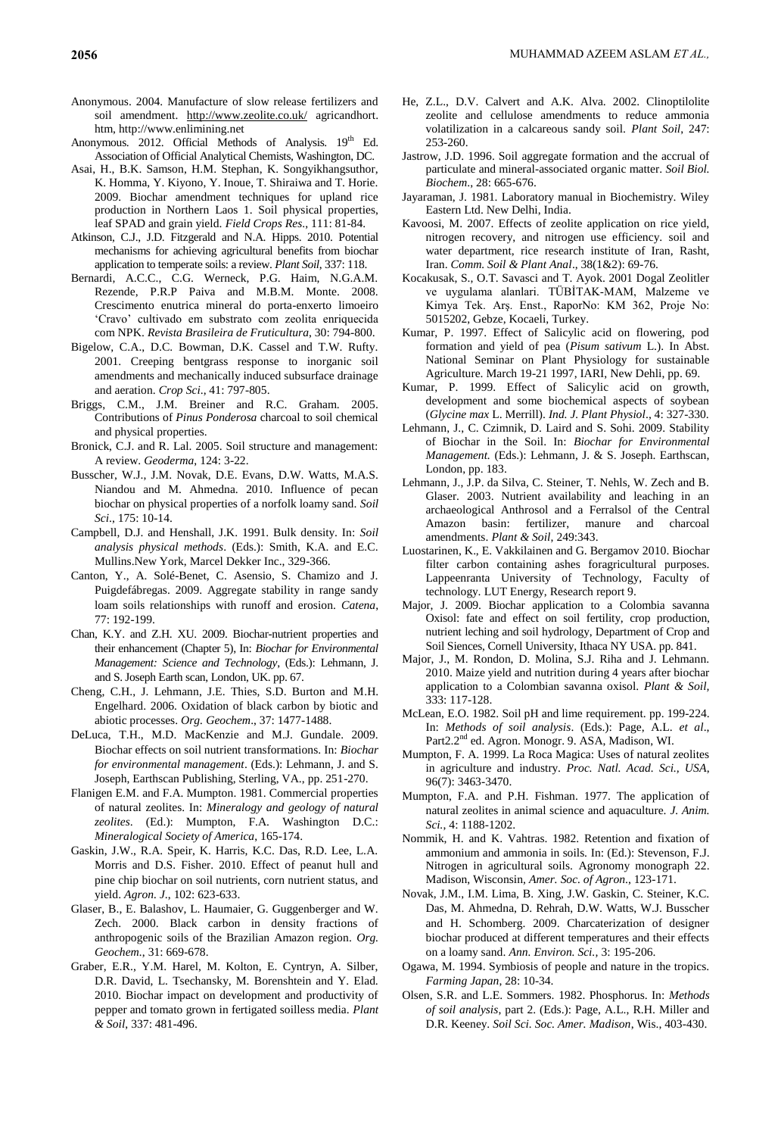- Anonymous. 2004. Manufacture of slow release fertilizers and soil amendment. <http://www.zeolite.co.uk/> agricandhort. htm, http://www.enlimining.net
- Anonymous. 2012. Official Methods of Analysis. 19<sup>th</sup> Ed. Association of Official Analytical Chemists, Washington, DC.
- Asai, H., B.K. Samson, H.M. Stephan, K. Songyikhangsuthor, K. Homma, Y. Kiyono, Y. Inoue, T. Shiraiwa and T. Horie. 2009. Biochar amendment techniques for upland rice production in Northern Laos 1. Soil physical properties, leaf SPAD and grain yield. *Field Crops Res*., 111: 81-84.
- Atkinson, C.J., J.D. Fitzgerald and N.A. Hipps. 2010. Potential mechanisms for achieving agricultural benefits from biochar application to temperate soils: a review. *Plant Soil*, 337: 118.
- Bernardi, A.C.C., C.G. Werneck, P.G. Haim, N.G.A.M. Rezende, P.R.P Paiva and M.B.M. Monte. 2008. Crescimento enutrica mineral do porta-enxerto limoeiro 'Cravo' cultivado em substrato com zeolita enriquecida com NPK. *Revista Brasileira de Fruticultura*, 30: 794-800.
- Bigelow, C.A., D.C. Bowman, D.K. Cassel and T.W. Rufty. 2001. Creeping bentgrass response to inorganic soil amendments and mechanically induced subsurface drainage and aeration. *Crop Sci*., 41: 797-805.
- Briggs, C.M., J.M. Breiner and R.C. Graham. 2005. Contributions of *Pinus Ponderosa* charcoal to soil chemical and physical properties.
- Bronick, C.J. and R. Lal. 2005. Soil structure and management: A review. *Geoderma*, 124: 3-22.
- Busscher, W.J., J.M. Novak, D.E. Evans, D.W. Watts, M.A.S. Niandou and M. Ahmedna. 2010. Influence of pecan biochar on physical properties of a norfolk loamy sand. *Soil Sci*., 175: 10-14.
- Campbell, D.J. and Henshall, J.K. 1991. Bulk density. In: *Soil analysis physical methods*. (Eds.): Smith, K.A. and E.C. Mullins.New York, Marcel Dekker Inc., 329-366.
- Canton, Y., A. Solé-Benet, C. Asensio, S. Chamizo and J. Puigdefábregas. 2009. Aggregate stability in range sandy loam soils relationships with runoff and erosion. *Catena*, 77: 192-199.
- Chan, K.Y. and Z.H. XU. 2009. Biochar-nutrient properties and their enhancement (Chapter 5), In: *Biochar for Environmental Management: Science and Technology*, (Eds.): Lehmann, J. and S. Joseph Earth scan, London, UK. pp. 67.
- Cheng, C.H., J. Lehmann, J.E. Thies, S.D. Burton and M.H. Engelhard. 2006. Oxidation of black carbon by biotic and abiotic processes. *Org. Geochem*., 37: 1477-1488.
- DeLuca, T.H., M.D. MacKenzie and M.J. Gundale. 2009. Biochar effects on soil nutrient transformations. In: *Biochar for environmental management*. (Eds.): Lehmann, J. and S. Joseph, Earthscan Publishing, Sterling, VA., pp. 251-270.
- Flanigen E.M. and F.A. Mumpton. 1981. Commercial properties of natural zeolites. In: *Mineralogy and geology of natural zeolites*. (Ed.): Mumpton, F.A. Washington D.C.: *Mineralogical Society of America*, 165-174.
- Gaskin, J.W., R.A. Speir, K. Harris, K.C. Das, R.D. Lee, L.A. Morris and D.S. Fisher. 2010. Effect of peanut hull and pine chip biochar on soil nutrients, corn nutrient status, and yield. *Agron. J*., 102: 623-633.
- Glaser, B., E. Balashov, L. Haumaier, G. Guggenberger and W. Zech. 2000. Black carbon in density fractions of anthropogenic soils of the Brazilian Amazon region. *Org. Geochem.*, 31: 669-678.
- Graber, E.R., Y.M. Harel, M. Kolton, E. Cyntryn, A. Silber, D.R. David, L. Tsechansky, M. Borenshtein and Y. Elad. 2010. Biochar impact on development and productivity of pepper and tomato grown in fertigated soilless media. *Plant & Soil*, 337: 481-496.
- He, Z.L., D.V. Calvert and A.K. Alva. 2002. Clinoptilolite zeolite and cellulose amendments to reduce ammonia volatilization in a calcareous sandy soil. *Plant Soil*, 247: 253-260.
- Jastrow, J.D. 1996. Soil aggregate formation and the accrual of particulate and mineral-associated organic matter. *Soil Biol. Biochem*., 28: 665-676.
- Jayaraman, J. 1981. Laboratory manual in Biochemistry. Wiley Eastern Ltd. New Delhi, India.
- Kavoosi, M. 2007. Effects of zeolite application on rice yield, nitrogen recovery, and nitrogen use efficiency. soil and water department, rice research institute of Iran, Rasht, Iran. *Comm. Soil & Plant Anal*., 38(1&2): 69-76.
- Kocakusak, S., O.T. Savasci and T. Ayok. 2001 Dogal Zeolitler ve uygulama alanlari. TÜBİTAK-MAM, Malzeme ve Kimya Tek. Arş. Enst., RaporNo: KM 362, Proje No: 5015202, Gebze, Kocaeli, Turkey.
- Kumar, P. 1997. Effect of Salicylic acid on flowering, pod formation and yield of pea (*Pisum sativum* L.). In Abst. National Seminar on Plant Physiology for sustainable Agriculture. March 19-21 1997, IARI, New Dehli, pp. 69.
- Kumar, P. 1999. Effect of Salicylic acid on growth, development and some biochemical aspects of soybean (*Glycine max* L. Merrill). *Ind. J. Plant Physiol*., 4: 327-330.
- Lehmann, J., C. Czimnik, D. Laird and S. Sohi. 2009. Stability of Biochar in the Soil. In: *Biochar for Environmental Management.* (Eds.): Lehmann, J. & S. Joseph. Earthscan, London, pp. 183.
- Lehmann, J., J.P. da Silva, C. Steiner, T. Nehls, W. Zech and B. Glaser. 2003. Nutrient availability and leaching in an archaeological Anthrosol and a Ferralsol of the Central Amazon basin: fertilizer, manure and charcoal amendments. *Plant & Soil*, 249:343.
- Luostarinen, K., E. Vakkilainen and G. Bergamov 2010. Biochar filter carbon containing ashes foragricultural purposes. Lappeenranta University of Technology, Faculty of technology. LUT Energy, Research report 9.
- Major, J. 2009. Biochar application to a Colombia savanna Oxisol: fate and effect on soil fertility, crop production, nutrient leching and soil hydrology, Department of Crop and Soil Siences, Cornell University, Ithaca NY USA. pp. 841.
- Major, J., M. Rondon, D. Molina, S.J. Riha and J. Lehmann. 2010. Maize yield and nutrition during 4 years after biochar application to a Colombian savanna oxisol. *Plant & Soil,* 333: 117-128.
- McLean, E.O. 1982. Soil pH and lime requirement. pp. 199-224. In: *Methods of soil analysis*. (Eds.): Page, A.L. *et al*., Part2.2<sup>nd</sup> ed. Agron. Monogr. 9. ASA, Madison, WI.
- Mumpton, F. A. 1999. La Roca Magica: Uses of natural zeolites in agriculture and industry. *Proc. Natl. Acad. Sci., USA*, 96(7): 3463-3470.
- Mumpton, F.A. and P.H. Fishman. 1977. The application of natural zeolites in animal science and aquaculture. *J. Anim. Sci.*, 4: 1188-1202.
- Nommik, H. and K. Vahtras. 1982. Retention and fixation of ammonium and ammonia in soils. In: (Ed.): Stevenson, F.J. Nitrogen in agricultural soils. Agronomy monograph 22. Madison, Wisconsin, *Amer. Soc. of Agron*., 123-171.
- Novak, J.M., I.M. Lima, B. Xing, J.W. Gaskin, C. Steiner, K.C. Das, M. Ahmedna, D. Rehrah, D.W. Watts, W.J. Busscher and H. Schomberg. 2009. Charcaterization of designer biochar produced at different temperatures and their effects on a loamy sand. *Ann. Environ. Sci.,* 3: 195-206.
- Ogawa, M. 1994. Symbiosis of people and nature in the tropics. *Farming Japan*, 28: 10-34.
- Olsen, S.R. and L.E. Sommers. 1982. Phosphorus. In: *Methods of soil analysis*, part 2. (Eds.): Page, A.L., R.H. Miller and D.R. Keeney. *Soil Sci. Soc. Amer. Madison*, Wis., 403-430.